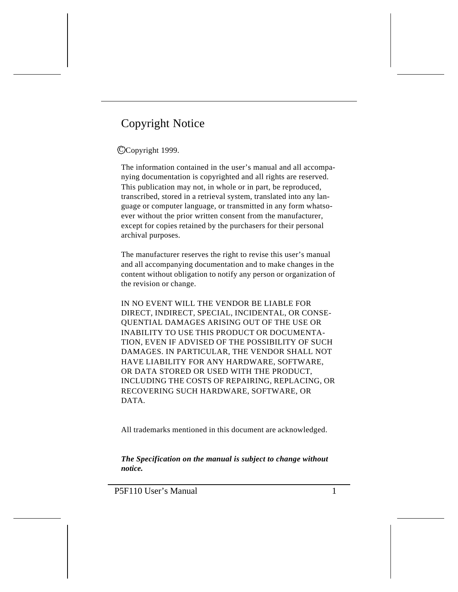# Copyright Notice

#### CCopyright 1999.

The information contained in the user's manual and all accompanying documentation is copyrighted and all rights are reserved. This publication may not, in whole or in part, be reproduced, transcribed, stored in a retrieval system, translated into any language or computer language, or transmitted in any form whatsoever without the prior written consent from the manufacturer, except for copies retained by the purchasers for their personal archival purposes.

The manufacturer reserves the right to revise this user's manual and all accompanying documentation and to make changes in the content without obligation to notify any person or organization of the revision or change.

IN NO EVENT WILL THE VENDOR BE LIABLE FOR DIRECT, INDIRECT, SPECIAL, INCIDENTAL, OR CONSE-QUENTIAL DAMAGES ARISING OUT OF THE USE OR INABILITY TO USE THIS PRODUCT OR DOCUMENTA-TION, EVEN IF ADVISED OF THE POSSIBILITY OF SUCH DAMAGES. IN PARTICULAR, THE VENDOR SHALL NOT HAVE LIABILITY FOR ANY HARDWARE, SOFTWARE, OR DATA STORED OR USED WITH THE PRODUCT, INCLUDING THE COSTS OF REPAIRING, REPLACING, OR RECOVERING SUCH HARDWARE, SOFTWARE, OR DATA.

All trademarks mentioned in this document are acknowledged.

*The Specification on the manual is subject to change without notice.*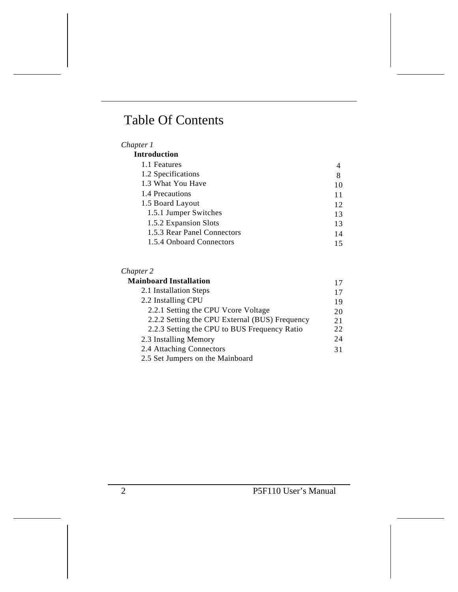# Table Of Contents

#### *Chapter 1*

| <b>Introduction</b>         |    |
|-----------------------------|----|
| 1.1 Features                | 4  |
| 1.2 Specifications          | 8  |
| 1.3 What You Have           | 10 |
| 1.4 Precautions             | 11 |
| 1.5 Board Layout            | 12 |
| 1.5.1 Jumper Switches       | 13 |
| 1.5.2 Expansion Slots       | 13 |
| 1.5.3 Rear Panel Connectors | 14 |
| 1.5.4 Onboard Connectors    | 15 |

#### *Chapter 2*

| <b>Mainboard Installation</b>                  | 17 |
|------------------------------------------------|----|
| 2.1 Installation Steps                         | 17 |
| 2.2 Installing CPU                             | 19 |
| 2.2.1 Setting the CPU Vcore Voltage            | 20 |
| 2.2.2 Setting the CPU External (BUS) Frequency | 21 |
| 2.2.3 Setting the CPU to BUS Frequency Ratio   | 22 |
| 2.3 Installing Memory                          | 24 |
| 2.4 Attaching Connectors                       | 31 |
| 2.5 Set Jumpers on the Mainboard               |    |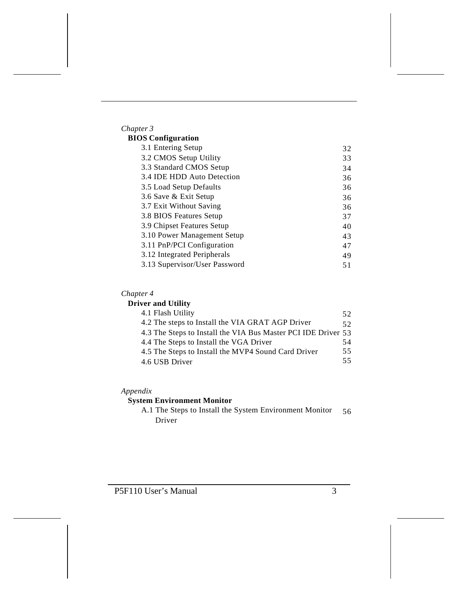| Chapter 3                     |    |
|-------------------------------|----|
| <b>BIOS</b> Configuration     |    |
| 3.1 Entering Setup            | 32 |
| 3.2 CMOS Setup Utility        | 33 |
| 3.3 Standard CMOS Setup       | 34 |
| 3.4 IDE HDD Auto Detection    | 36 |
| 3.5 Load Setup Defaults       | 36 |
| 3.6 Save & Exit Setup         | 36 |
| 3.7 Exit Without Saving       | 36 |
| 3.8 BIOS Features Setup       | 37 |
| 3.9 Chipset Features Setup    | 40 |
| 3.10 Power Management Setup   | 43 |
| 3.11 PnP/PCI Configuration    | 47 |
| 3.12 Integrated Peripherals   | 49 |
| 3.13 Supervisor/User Password | 51 |

### *Chapter 4*

### **Driver and Utility**

| 4.1 Flash Utility                                             | 52 |
|---------------------------------------------------------------|----|
| 4.2 The steps to Install the VIA GRAT AGP Driver              | 52 |
| 4.3 The Steps to Install the VIA Bus Master PCI IDE Driver 53 |    |
| 4.4 The Steps to Install the VGA Driver                       | 54 |
| 4.5 The Steps to Install the MVP4 Sound Card Driver           | 55 |
| 4.6 USB Driver                                                | 55 |

### *Appendix*

### **System Environment Monitor**

A.1 The Steps to Install the System Environment Monitor Driver 56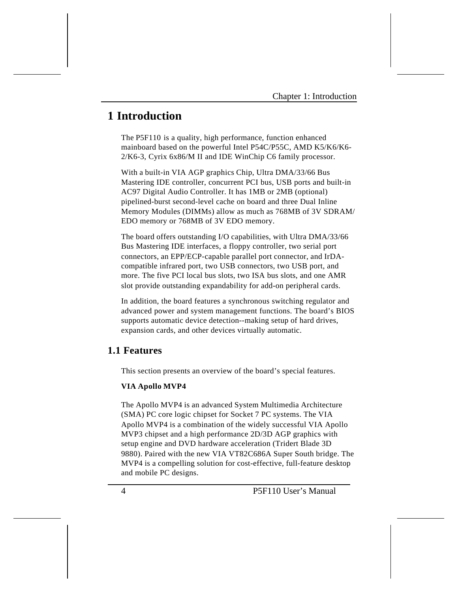# **1 Introduction**

The P5F110 is a quality, high performance, function enhanced mainboard based on the powerful Intel P54C/P55C, AMD K5/K6/K6- 2/K6-3, Cyrix 6x86/M II and IDE WinChip C6 family processor.

With a built-in VIA AGP graphics Chip, Ultra DMA/33/66 Bus Mastering IDE controller, concurrent PCI bus, USB ports and built-in AC97 Digital Audio Controller. It has 1MB or 2MB (optional) pipelined-burst second-level cache on board and three Dual Inline Memory Modules (DIMMs) allow as much as 768MB of 3V SDRAM/ EDO memory or 768MB of 3V EDO memory.

The board offers outstanding I/O capabilities, with Ultra DMA/33/66 Bus Mastering IDE interfaces, a floppy controller, two serial port connectors, an EPP/ECP-capable parallel port connector, and IrDAcompatible infrared port, two USB connectors, two USB port, and more. The five PCI local bus slots, two ISA bus slots, and one AMR slot provide outstanding expandability for add-on peripheral cards.

In addition, the board features a synchronous switching regulator and advanced power and system management functions. The board's BIOS supports automatic device detection--making setup of hard drives, expansion cards, and other devices virtually automatic.

### **1.1 Features**

This section presents an overview of the board's special features.

#### **VIA Apollo MVP4**

The Apollo MVP4 is an advanced System Multimedia Architecture (SMA) PC core logic chipset for Socket 7 PC systems. The VIA Apollo MVP4 is a combination of the widely successful VIA Apollo MVP3 chipset and a high performance 2D/3D AGP graphics with setup engine and DVD hardware acceleration (Tridert Blade 3D 9880). Paired with the new VIA VT82C686A Super South bridge. The MVP4 is a compelling solution for cost-effective, full-feature desktop and mobile PC designs.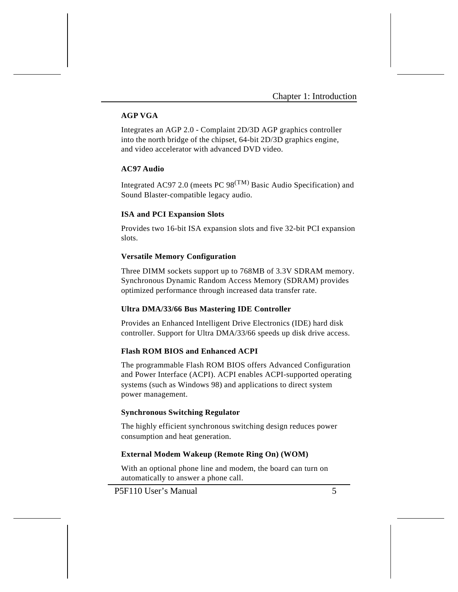#### **AGP VGA**

Integrates an AGP 2.0 - Complaint 2D/3D AGP graphics controller into the north bridge of the chipset, 64-bit 2D/3D graphics engine, and video accelerator with advanced DVD video.

#### **AC97 Audio**

Integrated AC97 2.0 (meets PC  $98^{(TM)}$  Basic Audio Specification) and Sound Blaster-compatible legacy audio.

#### **ISA and PCI Expansion Slots**

Provides two 16-bit ISA expansion slots and five 32-bit PCI expansion slots.

#### **Versatile Memory Configuration**

Three DIMM sockets support up to 768MB of 3.3V SDRAM memory. Synchronous Dynamic Random Access Memory (SDRAM) provides optimized performance through increased data transfer rate.

#### **Ultra DMA/33/66 Bus Mastering IDE Controller**

Provides an Enhanced Intelligent Drive Electronics (IDE) hard disk controller. Support for Ultra DMA/33/66 speeds up disk drive access.

#### **Flash ROM BIOS and Enhanced ACPI**

The programmable Flash ROM BIOS offers Advanced Configuration and Power Interface (ACPI). ACPI enables ACPI-supported operating systems (such as Windows 98) and applications to direct system power management.

#### **Synchronous Switching Regulator**

The highly efficient synchronous switching design reduces power consumption and heat generation.

#### **External Modem Wakeup (Remote Ring On) (WOM)**

With an optional phone line and modem, the board can turn on automatically to answer a phone call.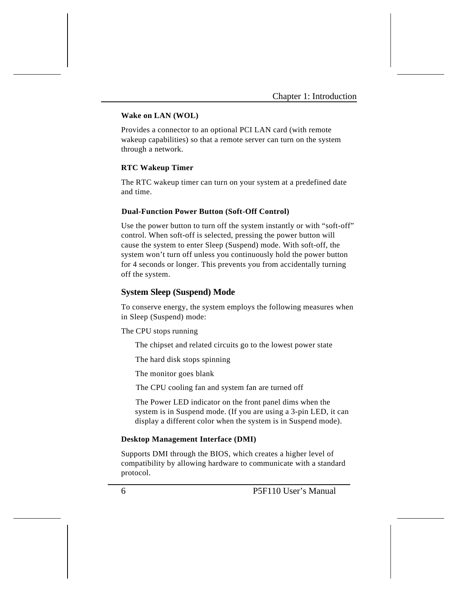#### **Wake on LAN (WOL)**

Provides a connector to an optional PCI LAN card (with remote wakeup capabilities) so that a remote server can turn on the system through a network.

#### **RTC Wakeup Timer**

The RTC wakeup timer can turn on your system at a predefined date and time.

#### **Dual-Function Power Button (Soft-Off Control)**

Use the power button to turn off the system instantly or with "soft-off" control. When soft-off is selected, pressing the power button will cause the system to enter Sleep (Suspend) mode. With soft-off, the system won't turn off unless you continuously hold the power button for 4 seconds or longer. This prevents you from accidentally turning off the system.

#### **System Sleep (Suspend) Mode**

To conserve energy, the system employs the following measures when in Sleep (Suspend) mode:

The CPU stops running

The chipset and related circuits go to the lowest power state

The hard disk stops spinning

The monitor goes blank

The CPU cooling fan and system fan are turned off

 The Power LED indicator on the front panel dims when the system is in Suspend mode. (If you are using a 3-pin LED, it can display a different color when the system is in Suspend mode).

#### **Desktop Management Interface (DMI)**

Supports DMI through the BIOS, which creates a higher level of compatibility by allowing hardware to communicate with a standard protocol.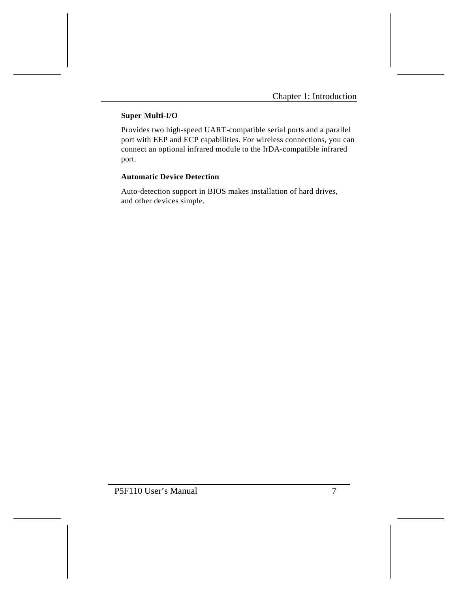### **Super Multi-I/O**

Provides two high-speed UART-compatible serial ports and a parallel port with EEP and ECP capabilities. For wireless connections, you can connect an optional infrared module to the IrDA-compatible infrared port.

#### **Automatic Device Detection**

Auto-detection support in BIOS makes installation of hard drives, and other devices simple.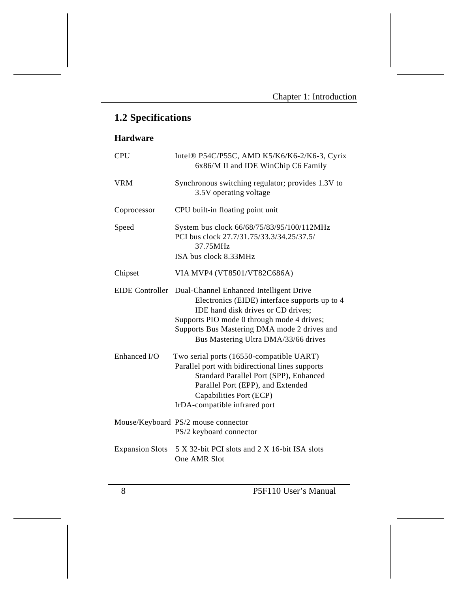# **1.2 Specifications**

### **Hardware**

| <b>CPU</b>             | Intel® P54C/P55C, AMD K5/K6/K6-2/K6-3, Cyrix<br>6x86/M II and IDE WinChip C6 Family                                                                                                                                                                                  |
|------------------------|----------------------------------------------------------------------------------------------------------------------------------------------------------------------------------------------------------------------------------------------------------------------|
| <b>VRM</b>             | Synchronous switching regulator; provides 1.3V to<br>3.5V operating voltage                                                                                                                                                                                          |
| Coprocessor            | CPU built-in floating point unit                                                                                                                                                                                                                                     |
| Speed                  | System bus clock 66/68/75/83/95/100/112MHz<br>PCI bus clock 27.7/31.75/33.3/34.25/37.5/<br>37.75MHz<br>ISA bus clock 8.33MHz                                                                                                                                         |
| Chipset                | VIA MVP4 (VT8501/VT82C686A)                                                                                                                                                                                                                                          |
| <b>EIDE</b> Controller | Dual-Channel Enhanced Intelligent Drive<br>Electronics (EIDE) interface supports up to 4<br>IDE hand disk drives or CD drives;<br>Supports PIO mode 0 through mode 4 drives;<br>Supports Bus Mastering DMA mode 2 drives and<br>Bus Mastering Ultra DMA/33/66 drives |
| Enhanced I/O           | Two serial ports (16550-compatible UART)<br>Parallel port with bidirectional lines supports<br>Standard Parallel Port (SPP), Enhanced<br>Parallel Port (EPP), and Extended<br>Capabilities Port (ECP)<br>IrDA-compatible infrared port                               |
|                        | Mouse/Keyboard PS/2 mouse connector<br>PS/2 keyboard connector                                                                                                                                                                                                       |
| <b>Expansion Slots</b> | 5 X 32-bit PCI slots and 2 X 16-bit ISA slots<br>One AMR Slot                                                                                                                                                                                                        |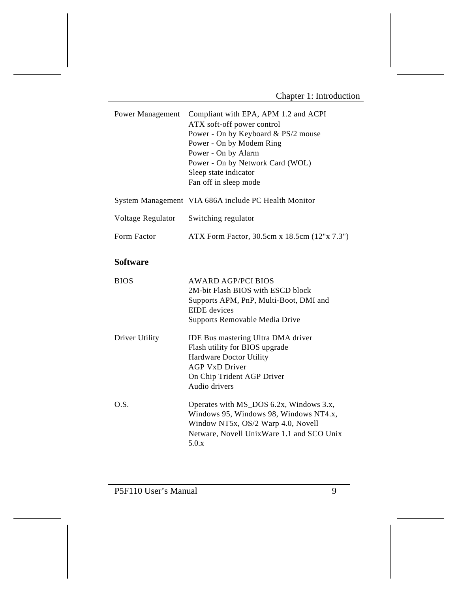| Power Management  | Compliant with EPA, APM 1.2 and ACPI<br>ATX soft-off power control<br>Power - On by Keyboard & PS/2 mouse<br>Power - On by Modem Ring<br>Power - On by Alarm<br>Power - On by Network Card (WOL)<br>Sleep state indicator<br>Fan off in sleep mode |
|-------------------|----------------------------------------------------------------------------------------------------------------------------------------------------------------------------------------------------------------------------------------------------|
|                   | System Management VIA 686A include PC Health Monitor                                                                                                                                                                                               |
| Voltage Regulator | Switching regulator                                                                                                                                                                                                                                |
| Form Factor       | ATX Form Factor, 30.5cm x 18.5cm (12"x 7.3")                                                                                                                                                                                                       |
| <b>Software</b>   |                                                                                                                                                                                                                                                    |
| <b>BIOS</b>       | <b>AWARD AGP/PCI BIOS</b><br>2M-bit Flash BIOS with ESCD block<br>Supports APM, PnP, Multi-Boot, DMI and<br><b>EIDE</b> devices<br>Supports Removable Media Drive                                                                                  |
| Driver Utility    | <b>IDE Bus mastering Ultra DMA driver</b><br>Flash utility for BIOS upgrade<br><b>Hardware Doctor Utility</b><br><b>AGP VxD Driver</b><br>On Chip Trident AGP Driver<br>Audio drivers                                                              |
| O.S.              | Operates with MS_DOS 6.2x, Windows 3.x,<br>Windows 95, Windows 98, Windows NT4.x,<br>Window NT5x, OS/2 Warp 4.0, Novell<br>Netware, Novell UnixWare 1.1 and SCO Unix<br>5.0.x                                                                      |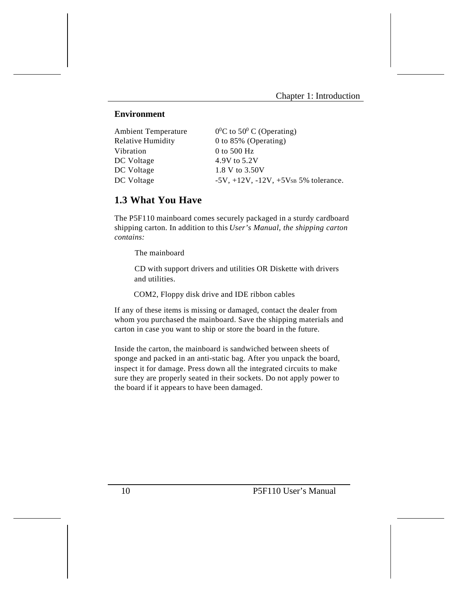#### **Environment**

| <b>Ambient Temperature</b> | $0^0$ C to 50 <sup>0</sup> C (Operating)         |
|----------------------------|--------------------------------------------------|
| Relative Humidity          | 0 to 85% (Operating)                             |
| Vibration                  | 0 to 500 $Hz$                                    |
| DC Voltage                 | 4.9V to 5.2V                                     |
| DC Voltage                 | 1.8 V to 3.50V                                   |
| DC Voltage                 | $-5V$ , $+12V$ , $-12V$ , $+5V$ SB 5% tolerance. |
|                            |                                                  |

### **1.3 What You Have**

The P5F110 mainboard comes securely packaged in a sturdy cardboard shipping carton. In addition to this *User's Manual, the shipping carton contains:* 

The mainboard

 CD with support drivers and utilities OR Diskette with drivers and utilities.

COM2, Floppy disk drive and IDE ribbon cables

If any of these items is missing or damaged, contact the dealer from whom you purchased the mainboard. Save the shipping materials and carton in case you want to ship or store the board in the future.

Inside the carton, the mainboard is sandwiched between sheets of sponge and packed in an anti-static bag. After you unpack the board, inspect it for damage. Press down all the integrated circuits to make sure they are properly seated in their sockets. Do not apply power to the board if it appears to have been damaged.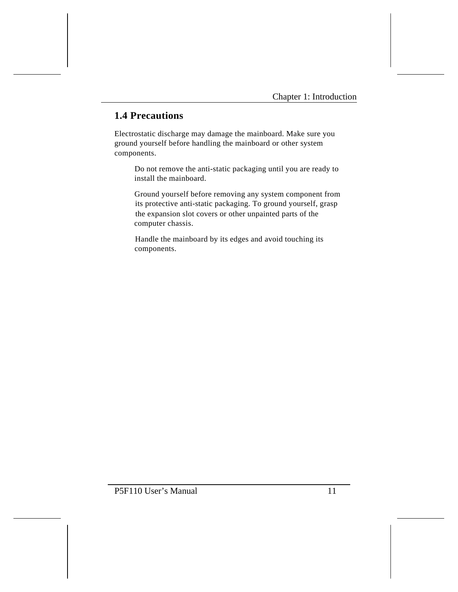### **1.4 Precautions**

Electrostatic discharge may damage the mainboard. Make sure you ground yourself before handling the mainboard or other system components.

 Do not remove the anti-static packaging until you are ready to install the mainboard.

 Ground yourself before removing any system component from its protective anti-static packaging. To ground yourself, grasp the expansion slot covers or other unpainted parts of the computer chassis.

 Handle the mainboard by its edges and avoid touching its components.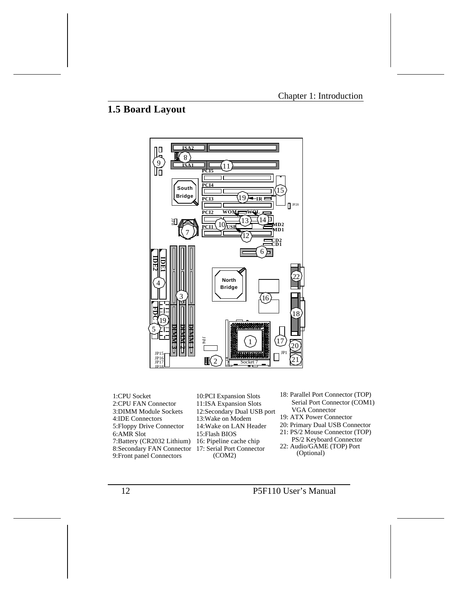# **1.5 Board Layout**



1:CPU Socket 4:IDE Connectors 9:Front panel Connectors 7:Battery (CR2032 Lithium) 3:DIMM Module Sockets 5:Floppy Drive Connector 2:CPU FAN Connector 8:Secondary FAN Connector 17: Serial Port Connector 6:AMR Slot

11:ISA Expansion Slots 10:PCI Expansion Slots 15:Flash BIOS 13:Wake on Modem 14:Wake on LAN Header 12:Secondary Dual USB port 16: Pipeline cache chip (COM2)

- Serial Port Connector (COM1) 18: Parallel Port Connector (TOP) VGA Connector
- 19: ATX Power Connector
- 20: Primary Dual USB Connector
- 21: PS/2 Mouse Connector (TOP)
	- PS/2 Keyboard Connector
- 22: Audio/GAME (TOP) Port (Optional)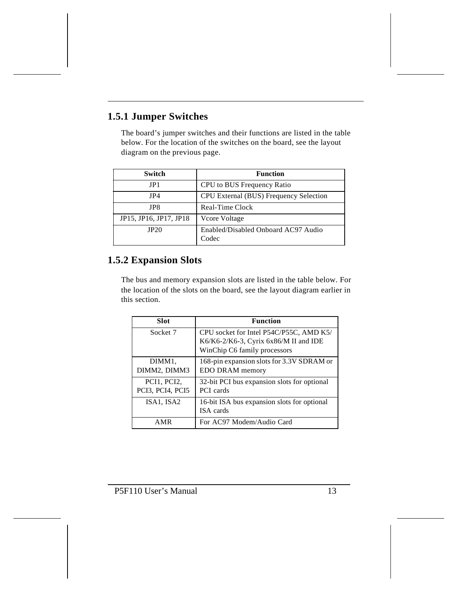# **1.5.1 Jumper Switches**

The board's jumper switches and their functions are listed in the table below. For the location of the switches on the board, see the layout diagram on the previous page.

| Switch                 | <b>Function</b>                              |
|------------------------|----------------------------------------------|
| JP1                    | CPU to BUS Frequency Ratio                   |
| JP4                    | CPU External (BUS) Frequency Selection       |
| JP8                    | Real-Time Clock                              |
| JP15, JP16, JP17, JP18 | Vcore Voltage                                |
| JP20                   | Enabled/Disabled Onboard AC97 Audio<br>Codec |

# **1.5.2 Expansion Slots**

The bus and memory expansion slots are listed in the table below. For the location of the slots on the board, see the layout diagram earlier in this section.

| <b>Slot</b>                     | <b>Function</b>                                                                                                  |
|---------------------------------|------------------------------------------------------------------------------------------------------------------|
| Socket 7                        | CPU socket for Intel P54C/P55C, AMD K5/<br>K6/K6-2/K6-3, Cyrix 6x86/M II and IDE<br>WinChip C6 family processors |
| DIMM1,<br>DIMM2, DIMM3          | 168-pin expansion slots for 3.3V SDRAM or<br>EDO DRAM memory                                                     |
| PCI1, PCI2,<br>PCI3, PCI4, PCI5 | 32-bit PCI bus expansion slots for optional<br><b>PCI</b> cards                                                  |
| ISA1, ISA2                      | 16-bit ISA bus expansion slots for optional<br>ISA cards                                                         |
| AMR                             | For AC97 Modem/Audio Card                                                                                        |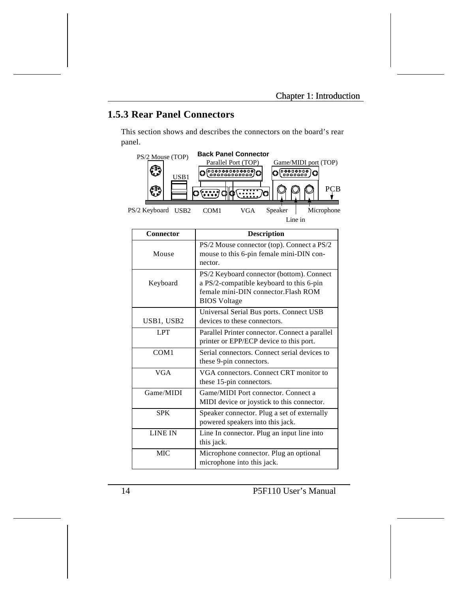# **1.5.3 Rear Panel Connectors**

This section shows and describes the connectors on the board's rear panel.



| Connector        | <b>Description</b>                             |
|------------------|------------------------------------------------|
|                  | PS/2 Mouse connector (top). Connect a PS/2     |
| Mouse            | mouse to this 6-pin female mini-DIN con-       |
|                  | nector.                                        |
|                  | PS/2 Keyboard connector (bottom). Connect      |
| Keyboard         | a PS/2-compatible keyboard to this 6-pin       |
|                  | female mini-DIN connector. Flash ROM           |
|                  | <b>BIOS</b> Voltage                            |
|                  | Universal Serial Bus ports. Connect USB        |
| USB1, USB2       | devices to these connectors.                   |
| <b>LPT</b>       | Parallel Printer connector. Connect a parallel |
|                  | printer or EPP/ECP device to this port.        |
| COM <sub>1</sub> | Serial connectors. Connect serial devices to   |
|                  | these 9-pin connectors.                        |
| <b>VGA</b>       | VGA connectors. Connect CRT monitor to         |
|                  | these 15-pin connectors.                       |
| Game/MIDI        | Game/MIDI Port connector. Connect a            |
|                  | MIDI device or joystick to this connector.     |
| <b>SPK</b>       | Speaker connector. Plug a set of externally    |
|                  | powered speakers into this jack.               |
| <b>LINE IN</b>   | Line In connector. Plug an input line into     |
|                  | this jack.                                     |
| MIC.             | Microphone connector. Plug an optional         |
|                  | microphone into this jack.                     |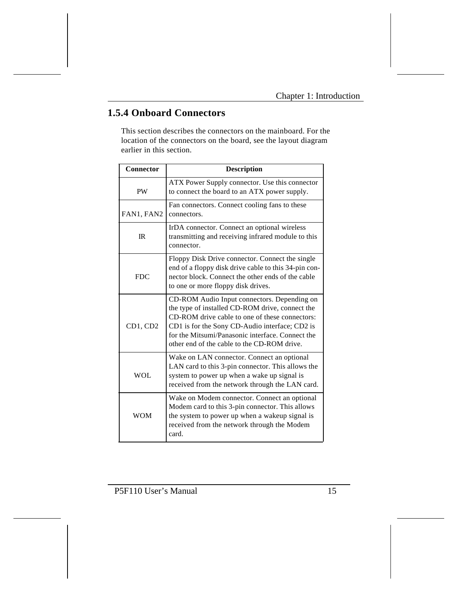# **1.5.4 Onboard Connectors**

This section describes the connectors on the mainboard. For the location of the connectors on the board, see the layout diagram earlier in this section.

| Connector  | <b>Description</b>                                                                                                                                                                                                                                                                                    |
|------------|-------------------------------------------------------------------------------------------------------------------------------------------------------------------------------------------------------------------------------------------------------------------------------------------------------|
| <b>PW</b>  | ATX Power Supply connector. Use this connector<br>to connect the board to an ATX power supply.                                                                                                                                                                                                        |
| FAN1, FAN2 | Fan connectors. Connect cooling fans to these<br>connectors.                                                                                                                                                                                                                                          |
| IR         | IrDA connector. Connect an optional wireless<br>transmitting and receiving infrared module to this<br>connector.                                                                                                                                                                                      |
| <b>FDC</b> | Floppy Disk Drive connector. Connect the single<br>end of a floppy disk drive cable to this 34-pin con-<br>nector block. Connect the other ends of the cable<br>to one or more floppy disk drives.                                                                                                    |
| CD1. CD2   | CD-ROM Audio Input connectors. Depending on<br>the type of installed CD-ROM drive, connect the<br>CD-ROM drive cable to one of these connectors:<br>CD1 is for the Sony CD-Audio interface; CD2 is<br>for the Mitsumi/Panasonic interface. Connect the<br>other end of the cable to the CD-ROM drive. |
| <b>WOL</b> | Wake on LAN connector. Connect an optional<br>LAN card to this 3-pin connector. This allows the<br>system to power up when a wake up signal is<br>received from the network through the LAN card.                                                                                                     |
| <b>WOM</b> | Wake on Modem connector. Connect an optional<br>Modem card to this 3-pin connector. This allows<br>the system to power up when a wakeup signal is<br>received from the network through the Modem<br>card.                                                                                             |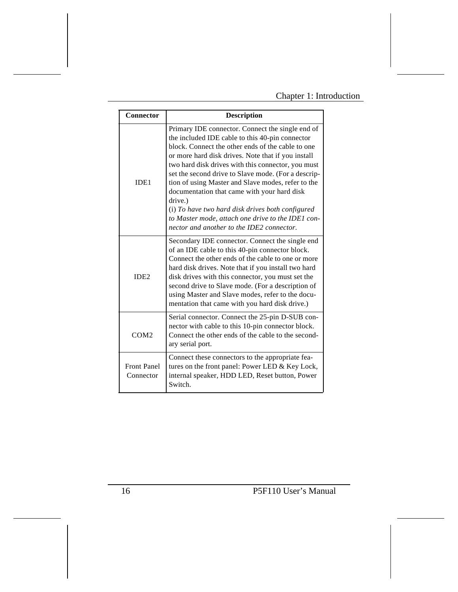### Chapter 1: Introduction

| Connector                       | <b>Description</b>                                                                                                                                                                                                                                                                                                                                                                                                                                                                                                                                                                                |
|---------------------------------|---------------------------------------------------------------------------------------------------------------------------------------------------------------------------------------------------------------------------------------------------------------------------------------------------------------------------------------------------------------------------------------------------------------------------------------------------------------------------------------------------------------------------------------------------------------------------------------------------|
| IDE1                            | Primary IDE connector. Connect the single end of<br>the included IDE cable to this 40-pin connector<br>block. Connect the other ends of the cable to one<br>or more hard disk drives. Note that if you install<br>two hard disk drives with this connector, you must<br>set the second drive to Slave mode. (For a descrip-<br>tion of using Master and Slave modes, refer to the<br>documentation that came with your hard disk<br>drive.)<br>(i) To have two hard disk drives both configured<br>to Master mode, attach one drive to the IDE1 con-<br>nector and another to the IDE2 connector. |
| IDE2                            | Secondary IDE connector. Connect the single end<br>of an IDE cable to this 40-pin connector block.<br>Connect the other ends of the cable to one or more<br>hard disk drives. Note that if you install two hard<br>disk drives with this connector, you must set the<br>second drive to Slave mode. (For a description of<br>using Master and Slave modes, refer to the docu-<br>mentation that came with you hard disk drive.)                                                                                                                                                                   |
| COM2                            | Serial connector. Connect the 25-pin D-SUB con-<br>nector with cable to this 10-pin connector block.<br>Connect the other ends of the cable to the second-<br>ary serial port.                                                                                                                                                                                                                                                                                                                                                                                                                    |
| <b>Front Panel</b><br>Connector | Connect these connectors to the appropriate fea-<br>tures on the front panel: Power LED & Key Lock,<br>internal speaker, HDD LED, Reset button, Power<br>Switch.                                                                                                                                                                                                                                                                                                                                                                                                                                  |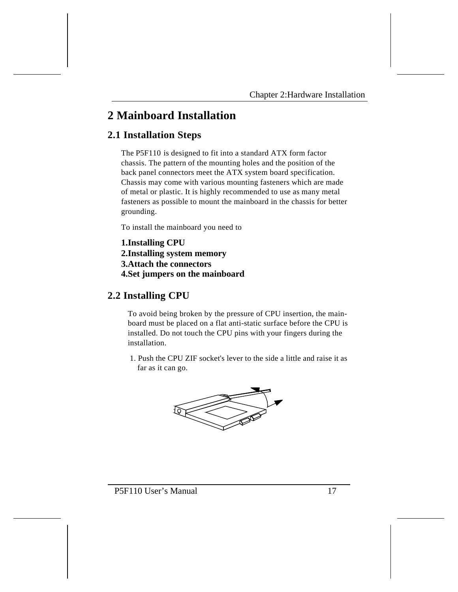# **2 Mainboard Installation**

### **2.1 Installation Steps**

The P5F110 is designed to fit into a standard ATX form factor chassis. The pattern of the mounting holes and the position of the back panel connectors meet the ATX system board specification. Chassis may come with various mounting fasteners which are made of metal or plastic. It is highly recommended to use as many metal fasteners as possible to mount the mainboard in the chassis for better grounding.

To install the mainboard you need to

**1.Installing CPU 2.Installing system memory 3.Attach the connectors 4.Set jumpers on the mainboard**

### **2.2 Installing CPU**

To avoid being broken by the pressure of CPU insertion, the mainboard must be placed on a flat anti-static surface before the CPU is installed. Do not touch the CPU pins with your fingers during the installation.

 1. Push the CPU ZIF socket's lever to the side a little and raise it as far as it can go.

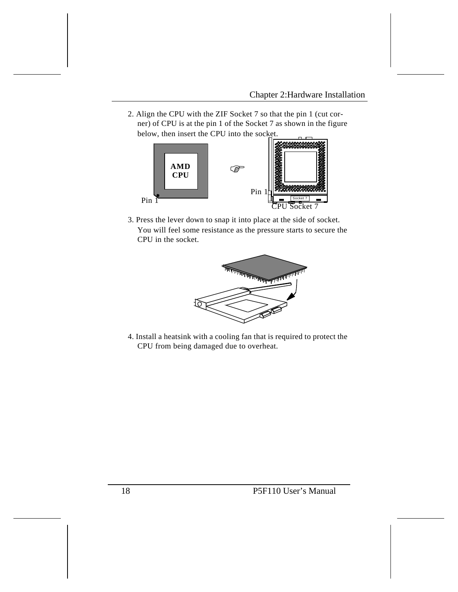2. Align the CPU with the ZIF Socket 7 so that the pin 1 (cut corner) of CPU is at the pin 1 of the Socket 7 as shown in the figure below, then insert the CPU into the socket.



3. Press the lever down to snap it into place at the side of socket. You will feel some resistance as the pressure starts to secure the CPU in the socket.



4. Install a heatsink with a cooling fan that is required to protect the CPU from being damaged due to overheat.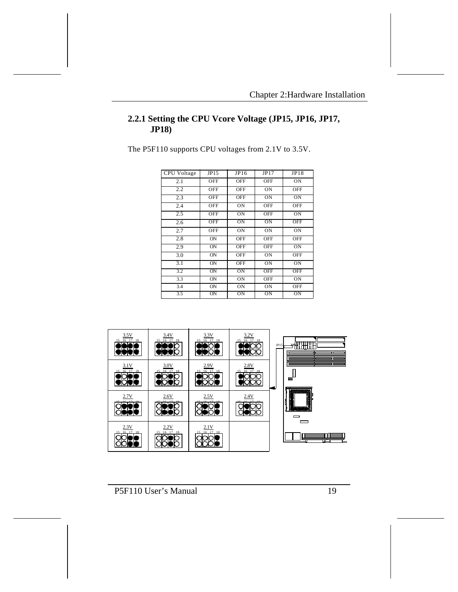### **2.2.1 Setting the CPU Vcore Voltage (JP15, JP16, JP17, JP18)**

The P5F110 supports CPU voltages from 2.1V to 3.5V.

| <b>CPU</b> Voltage | JP15            | JP16       | JP17       | JP18       |
|--------------------|-----------------|------------|------------|------------|
| 2.1                | OFF             | <b>OFF</b> | <b>OFF</b> | ON         |
| 2.2                | OFF             | <b>OFF</b> | ON         | <b>OFF</b> |
| 2.3                | <b>OFF</b>      | <b>OFF</b> | ON         | ON         |
| 2.4                | OFF             | ON         | <b>OFF</b> | <b>OFF</b> |
| 2.5                | OFF             | ON         | <b>OFF</b> | ON         |
| 2.6                | <b>OFF</b>      | OΝ         | ON         | <b>OFF</b> |
| 2.7                | OFF             | ON         | ON         | ON         |
| 2.8                | ON              | <b>OFF</b> | <b>OFF</b> | OFF        |
| 2.9                | $\overline{ON}$ | <b>OFF</b> | OFF        | ON         |
| 3.0                | ON              | <b>OFF</b> | ON         | <b>OFF</b> |
| 3.1                | ON              | <b>OFF</b> | ON         | ON         |
| 3.2                | $\overline{ON}$ | ON         | OFF        | <b>OFF</b> |
| 3.3                | ON              | ON         | <b>OFF</b> | ON         |
| 3.4                | ON              | ON         | ON         | <b>OFF</b> |
| 3.5                | $_{\rm ON}$     | OΝ         | ON         | ON         |

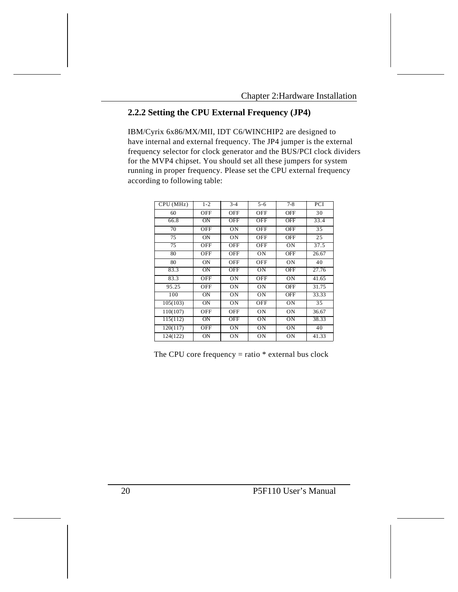### **2.2.2 Setting the CPU External Frequency (JP4)**

IBM/Cyrix 6x86/MX/MII, IDT C6/WINCHIP2 are designed to have internal and external frequency. The JP4 jumper is the external frequency selector for clock generator and the BUS/PCI clock dividers for the MVP4 chipset. You should set all these jumpers for system running in proper frequency. Please set the CPU external frequency according to following table:

| CPU (MHz) | $1 - 2$    | $\overline{3-4}$ | $5 - 6$        | $7-8$      | PCI             |
|-----------|------------|------------------|----------------|------------|-----------------|
| 60        | OFF        | <b>OFF</b>       | OFF            | <b>OFF</b> | 30              |
| 66.8      | <b>ON</b>  | <b>OFF</b>       | OFF            | <b>OFF</b> | 33.4            |
| 70        | OFF        | ON               | OFF            | <b>OFF</b> | $\overline{35}$ |
| 75        | <b>ON</b>  | ON               | OFF            | <b>OFF</b> | 25              |
| 75        | OFF        | <b>OFF</b>       | <b>OFF</b>     | ON         | 37.5            |
| 80        | OFF        | <b>OFF</b>       | ON             | <b>OFF</b> | 26.67           |
| 80        | <b>ON</b>  | <b>OFF</b>       | OFF            | ON         | 40              |
| 83.3      | <b>ON</b>  | <b>OFF</b>       | O <sub>N</sub> | <b>OFF</b> | 27.76           |
| 83.3      | OFF        | ON               | OFF            | ON         | 41.65           |
| 95.25     | OFF        | ON               | ON             | <b>OFF</b> | 31.75           |
| 100       | <b>ON</b>  | ON               | ON             | <b>OFF</b> | 33.33           |
| 105(103)  | <b>ON</b>  | ON               | OFF            | ON         | $\overline{35}$ |
| 110(107)  | OFF        | <b>OFF</b>       | ON             | ON         | 36.67           |
| 115(112)  | ON         | <b>OFF</b>       | ON             | ON         | 38.33           |
| 120(117)  | <b>OFF</b> | ON               | ON             | ON         | 40              |
| 124(122)  | <b>ON</b>  | ON               | ON             | ON         | 41.33           |

The CPU core frequency  $=$  ratio  $*$  external bus clock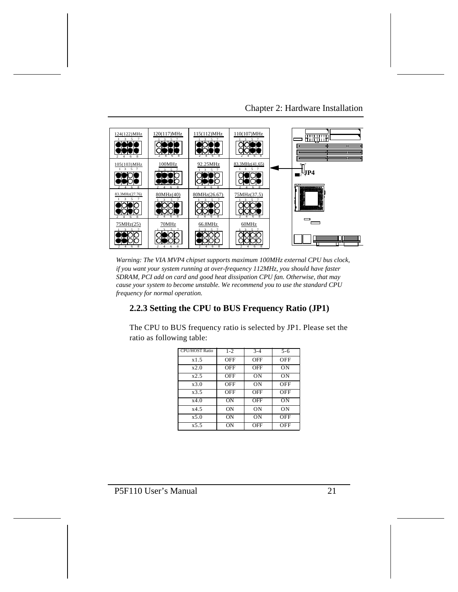Chapter 2: Hardware Installation



*Warning: The VIA MVP4 chipset supports maximum 100MHz external CPU bus clock, if you want your system running at over-frequency 112MHz, you should have faster SDRAM, PCI add on card and good heat dissipation CPU fan. Otherwise, that may cause your system to become unstable. We recommend you to use the standard CPU frequency for normal operation.* 

### **2.2.3 Setting the CPU to BUS Frequency Ratio (JP1)**

The CPU to BUS frequency ratio is selected by JP1. Please set the ratio as following table:

| <b>CPU/HOST Ratio</b> | $1 - 2$ | $3 - 4$ | $5 - 6$ |
|-----------------------|---------|---------|---------|
| x1.5                  | OFF     | OFF     | OFF     |
| x2.0                  | OFF     | OFF     | ON      |
| x2.5                  | OFF     | ON      | ON      |
| x3.0                  | OFF     | ON      | OFF     |
| x3.5                  | OFF     | OFF     | OFF     |
| x4.0                  | ON      | OFF     | ON      |
| x4.5                  | ON      | ON      | ON      |
| x5.0                  | ON      | ON      | OFF     |
| x 5.5                 | OΝ      | OFF     | OFF     |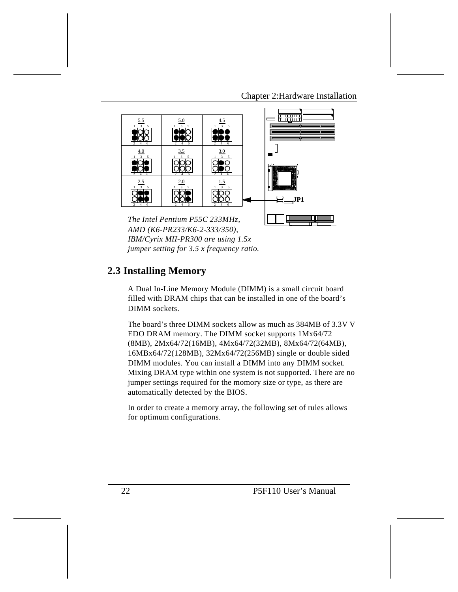Chapter 2:Hardware Installation



*AMD (K6-PR233/K6-2-333/350), IBM/Cyrix MII-PR300 are using 1.5x jumper setting for 3.5 x frequency ratio.* 

### **2.3 Installing Memory**

A Dual In-Line Memory Module (DIMM) is a small circuit board filled with DRAM chips that can be installed in one of the board's DIMM sockets.

The board's three DIMM sockets allow as much as 384MB of 3.3V V EDO DRAM memory. The DIMM socket supports 1Mx64/72 (8MB), 2Mx64/72(16MB), 4Mx64/72(32MB), 8Mx64/72(64MB), 16MBx64/72(128MB), 32Mx64/72(256MB) single or double sided DIMM modules. You can install a DIMM into any DIMM socket. Mixing DRAM type within one system is not supported. There are no jumper settings required for the momory size or type, as there are automatically detected by the BIOS.

In order to create a memory array, the following set of rules allows for optimum configurations.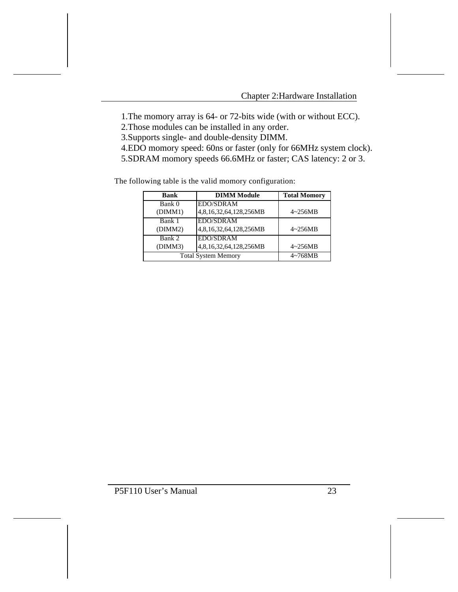1.The momory array is 64- or 72-bits wide (with or without ECC).

2.Those modules can be installed in any order.

3.Supports single- and double-density DIMM.

4.EDO momory speed: 60ns or faster (only for 66MHz system clock).

5.SDRAM momory speeds 66.6MHz or faster; CAS latency: 2 or 3.

The following table is the valid momory configuration:

| <b>Bank</b> | <b>DIMM Module</b>         | <b>Total Momory</b> |
|-------------|----------------------------|---------------------|
| Bank 0      | <b>EDO/SDRAM</b>           |                     |
| (DIMM1)     | 4,8,16,32,64,128,256MB     | $4 \sim 256MB$      |
| Bank 1      | <b>EDO/SDRAM</b>           |                     |
| (DIMM2)     | 4,8,16,32,64,128,256MB     | $4 \sim 256MB$      |
| Bank 2      | <b>EDO/SDRAM</b>           |                     |
| (DIMM3)     | 4,8,16,32,64,128,256MB     | $4 \sim 256MB$      |
|             | <b>Total System Memory</b> | $4 \sim 768MB$      |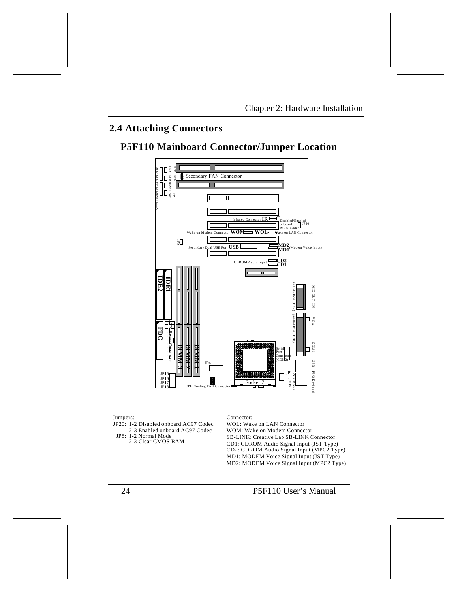# **2.4 Attaching Connectors**

# **P5F110 Mainboard Connector/Jumper Location**



Jumpers:

JP20: 1-2 Disabled onboard AC97 Codec 2-3 Enabled onboard AC97 Codec JP8: 1-2 Normal Mode 2-3 Clear CMOS RAM

Connector:

WOL: Wake on LAN Connector MD2: MODEM Voice Signal Input (MPC2 Type) MD1: MODEM Voice Signal Input (JST Type) CD2: CDROM Audio Signal Input (MPC2 Type) CD1: CDROM Audio Signal Input (JST Type) SB-LINK: Creative Lab SB-LINK Connector WOM: Wake on Modem Connector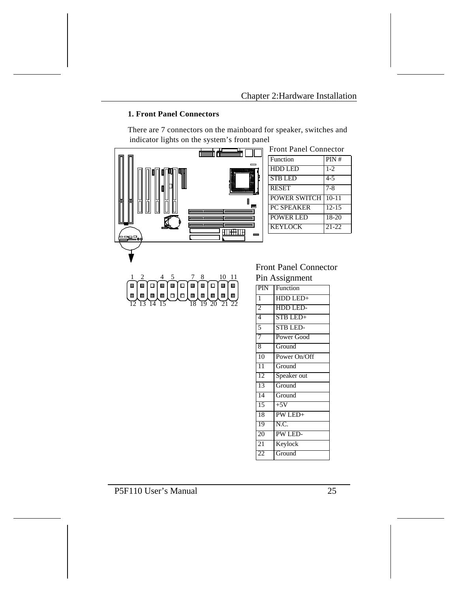### **1. Front Panel Connectors**

There are 7 connectors on the mainboard for speaker, switches and indicator lights on the system's front panel

|                    |                  | <b>Front Panel Connector</b> |           |
|--------------------|------------------|------------------------------|-----------|
|                    |                  | Function                     | PIN#      |
|                    | <b>TANADIA</b>   | <b>HDD LED</b>               | $1-2$     |
|                    |                  | <b>STB LED</b>               | $4 - 5$   |
|                    | <u>ini Maria</u> | <b>RESET</b>                 | $7 - 8$   |
|                    |                  | <b>POWER SWITCH</b>          | $10 - 11$ |
|                    |                  | <b>PC SPEAKER</b>            | $12-15$   |
|                    |                  | <b>POWER LED</b>             | 18-20     |
|                    |                  | <b>KEYLOCK</b>               | $21-22$   |
| <sup>⇒</sup> ≔⊑⊑∘∮ | —                |                              |           |
|                    |                  |                              |           |
|                    |                  |                              |           |
|                    |                  | <b>Front Panel Connector</b> |           |

 $\frac{1}{2}$   $\frac{2}{4}$   $\frac{4}{5}$   $\frac{7}{8}$   $\frac{8}{10}$   $\frac{10}{11}$  $\overline{12}$   $\overline{13}$   $\overline{14}$   $\overline{15}$   $\overline{15}$   $\overline{18}$   $\overline{19}$   $\overline{20}$   $\overline{21}$   $\overline{22}$ 

### Front Panel Connector Pin Assignment

|                 | . ш тъэндшист   |
|-----------------|-----------------|
| PIN             | Function        |
| $\mathbf{1}$    | HDD LED+        |
| $\overline{2}$  | HDD LED-        |
| $\overline{4}$  | STB LED+        |
| 5               | <b>STB LED-</b> |
| 7               | Power Good      |
| 8               | Ground          |
| $\overline{10}$ | Power On/Off    |
| $\overline{11}$ | Ground          |
| 12              | Speaker out     |
| 13              | Ground          |
| 14              | Ground          |
| 15              | $+5V$           |
| 18              | PW LED+         |
| 19              | N.C.            |
| 20              | PW LED-         |
| $\overline{21}$ | Keylock         |
| 22              | Ground          |
|                 |                 |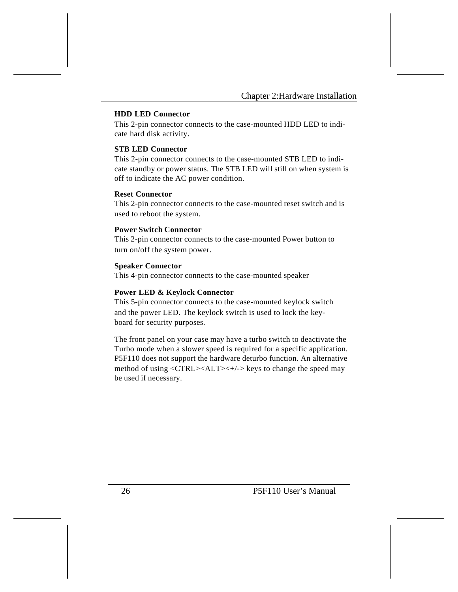#### **HDD LED Connector**

This 2-pin connector connects to the case-mounted HDD LED to indicate hard disk activity.

#### **STB LED Connector**

This 2-pin connector connects to the case-mounted STB LED to indicate standby or power status. The STB LED will still on when system is off to indicate the AC power condition.

#### **Reset Connector**

This 2-pin connector connects to the case-mounted reset switch and is used to reboot the system.

#### **Power Switch Connector**

This 2-pin connector connects to the case-mounted Power button to turn on/off the system power.

#### **Speaker Connector**

This 4-pin connector connects to the case-mounted speaker

#### **Power LED & Keylock Connector**

This 5-pin connector connects to the case-mounted keylock switch and the power LED. The keylock switch is used to lock the keyboard for security purposes.

The front panel on your case may have a turbo switch to deactivate the Turbo mode when a slower speed is required for a specific application. P5F110 does not support the hardware deturbo function. An alternative method of using <CTRL><ALT><+/-> keys to change the speed may be used if necessary.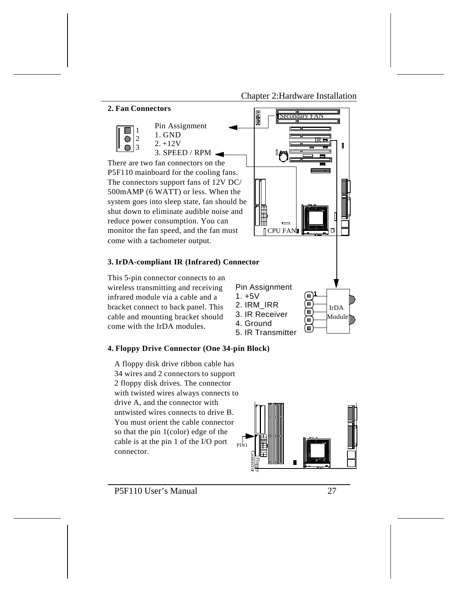Chapter 2:Hardware Installation



#### **4. Floppy Drive Connector (One 34-pin Block)**

A floppy disk drive ribbon cable has 34 wires and 2 connectors to support 2 floppy disk drives. The connector with twisted wires always connects to drive A, and the connector with untwisted wires connects to drive B. You must orient the cable connector so that the pin 1(color) edge of the cable is at the pin 1 of the I/O port connector.



⊙

5. IR Transmitter

P5F110 User's Manual 27

come with the IrDA modules.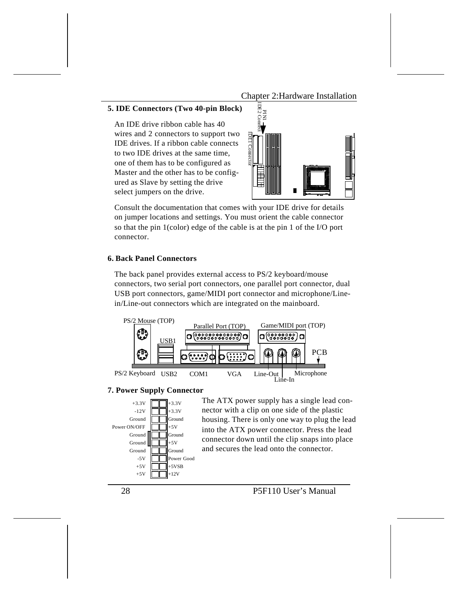Chapter 2:Hardware Installation

#### **5. IDE Connectors (Two 40-pin Block)**

An IDE drive ribbon cable has 40 wires and 2 connectors to support two IDE drives. If a ribbon cable connects to two IDE drives at the same time, one of them has to be configured as Master and the other has to be configured as Slave by setting the drive select jumpers on the drive.



Consult the documentation that comes with your IDE drive for details on jumper locations and settings. You must orient the cable connector so that the pin 1(color) edge of the cable is at the pin 1 of the I/O port connector.

#### **6. Back Panel Connectors**

The back panel provides external access to PS/2 keyboard/mouse connectors, two serial port connectors, one parallel port connector, dual USB port connectors, game/MIDI port connector and microphone/Linein/Line-out connectors which are integrated on the mainboard.



#### **7. Power Supply Connector**



The ATX power supply has a single lead connector with a clip on one side of the plastic housing. There is only one way to plug the lead into the ATX power connector. Press the lead connector down until the clip snaps into place and secures the lead onto the connector.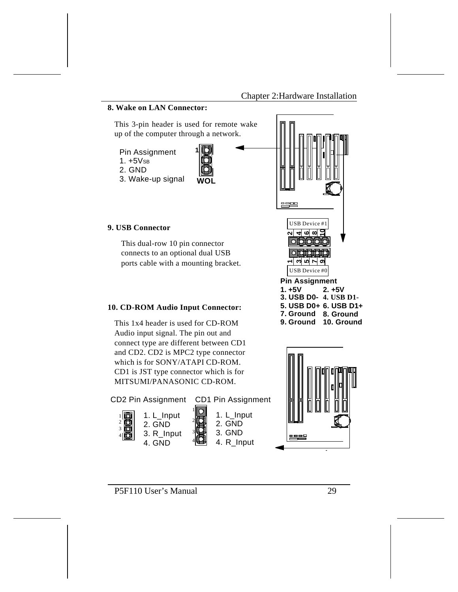#### **8. Wake on LAN Connector:** This 3-pin header is used for remote wake up of the computer through a network. **1** Pin Assignment  $1. +5V$ SB 2. GND 3. Wake-up signal **WOL** ---USB Device #1 **9. USB Connector** 000016 **2 6 8** This dual-row 10 pin connector 01대<br>이어 connects to an optional dual USB ports cable with a mounting bracket. **35791**USB Device #0**Pin Assignment 1. +5V 2. +5V 3. USB D0- 4. USB D1- 5. USB D0+ 6. USB D1+ 10. CD-ROM Audio Input Connector: 7. Ground 8. Ground** This 1x4 header is used for CD-ROM **9. Ground 10. Ground** Audio input signal. The pin out and connect type are different between CD1

and CD2. CD2 is MPC2 type connector which is for SONY/ATAPI CD-ROM. CD1 is JST type connector which is for MITSUMI/PANASONIC CD-ROM.



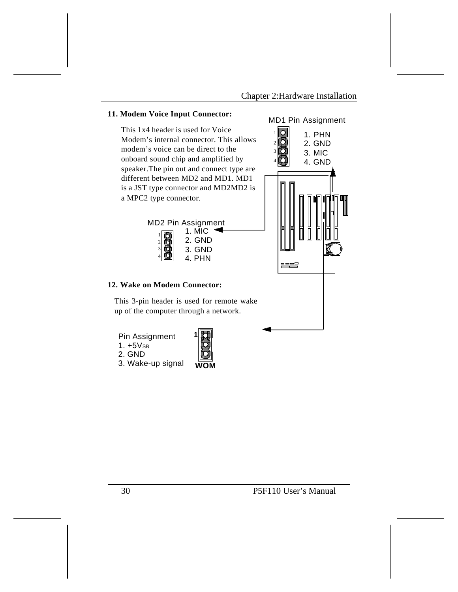

3. Wake-up signal

| F | $\overline{\phantom{a}}$ |
|---|--------------------------|
|   |                          |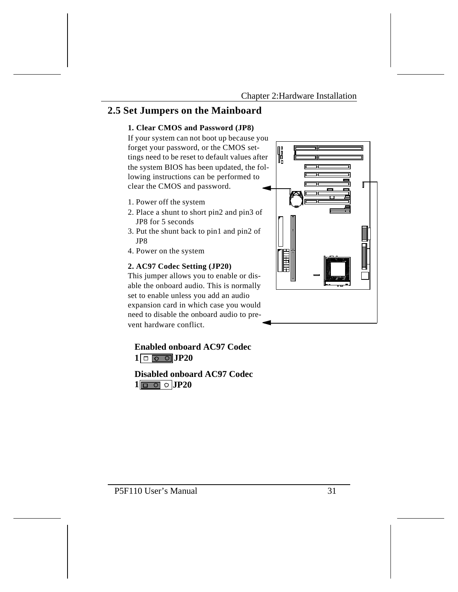### **2.5 Set Jumpers on the Mainboard**

### **1. Clear CMOS and Password (JP8)**

If your system can not boot up because you forget your password, or the CMOS settings need to be reset to default values after the system BIOS has been updated, the following instructions can be performed to clear the CMOS and password.

- 1. Power off the system
- 2. Place a shunt to short pin2 and pin3 of JP8 for 5 seconds
- 3. Put the shunt back to pin1 and pin2 of JP8
- 4. Power on the system

#### **2. AC97 Codec Setting (JP20)**

This jumper allows you to enable or disable the onboard audio. This is normally set to enable unless you add an audio expansion card in which case you would need to disable the onboard audio to prevent hardware conflict.

 $1$   $\boxed{\circ}$   $\boxed{\circ}$   $\boxed{JP20}$ **Enabled onboard AC97 Codec**

 $1$   $\boxed{0}$   $\boxed{0}$   $\boxed{JP20}$ **Disabled onboard AC97 Codec**

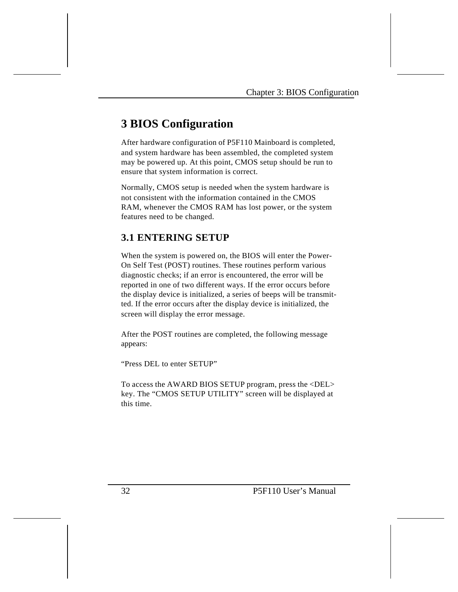# **3 BIOS Configuration**

After hardware configuration of P5F110 Mainboard is completed, and system hardware has been assembled, the completed system may be powered up. At this point, CMOS setup should be run to ensure that system information is correct.

Normally, CMOS setup is needed when the system hardware is not consistent with the information contained in the CMOS RAM, whenever the CMOS RAM has lost power, or the system features need to be changed.

### **3.1 ENTERING SETUP**

When the system is powered on, the BIOS will enter the Power-On Self Test (POST) routines. These routines perform various diagnostic checks; if an error is encountered, the error will be reported in one of two different ways. If the error occurs before the display device is initialized, a series of beeps will be transmitted. If the error occurs after the display device is initialized, the screen will display the error message.

After the POST routines are completed, the following message appears:

"Press DEL to enter SETUP"

To access the AWARD BIOS SETUP program, press the <DEL> key. The "CMOS SETUP UTILITY" screen will be displayed at this time.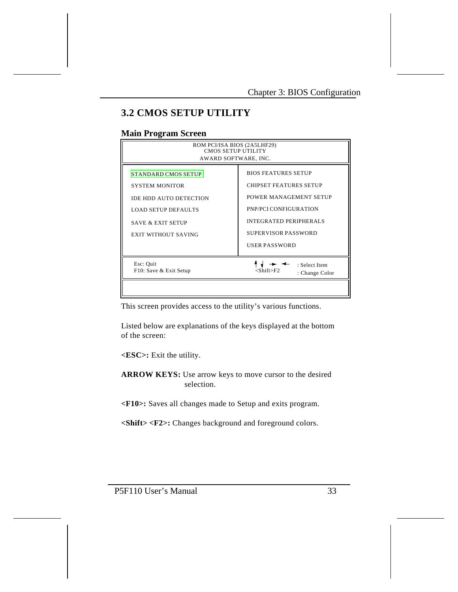# **3.2 CMOS SETUP UTILITY**

### **Main Program Screen**

| ROM PCI/ISA BIOS (2A5LHF29)<br><b>CMOS SETUP UTILITY</b><br>AWARD SOFTWARE, INC.                                                                                          |                                                                                                                                                                                                |  |
|---------------------------------------------------------------------------------------------------------------------------------------------------------------------------|------------------------------------------------------------------------------------------------------------------------------------------------------------------------------------------------|--|
| <b>STANDARD CMOS SETUP</b><br><b>SYSTEM MONITOR</b><br>IDE HDD AUTO DETECTION<br><b>LOAD SETUP DEFAULTS</b><br><b>SAVE &amp; EXIT SETUP</b><br><b>EXIT WITHOUT SAVING</b> | <b>BIOS FEATURES SETUP</b><br><b>CHIPSET FEATURES SETUP</b><br>POWER MANAGEMENT SETUP<br>PNP/PCI CONFIGURATION<br><b>INTEGRATED PERIPHERALS</b><br>SUPERVISOR PASSWORD<br><b>USER PASSWORD</b> |  |
| Esc: Quit<br>F10: Save & Exit Setup                                                                                                                                       | : Select Item<br><shift>F2<br/>: Change Color</shift>                                                                                                                                          |  |

This screen provides access to the utility's various functions.

Listed below are explanations of the keys displayed at the bottom of the screen:

**<ESC>:** Exit the utility.

**ARROW KEYS:** Use arrow keys to move cursor to the desired selection.

**<F10>:** Saves all changes made to Setup and exits program.

**<Shift> <F2>:** Changes background and foreground colors.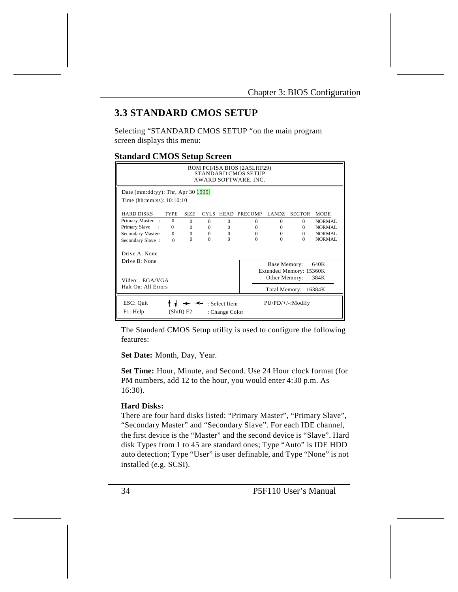### **3.3 STANDARD CMOS SETUP**

Selecting "STANDARD CMOS SETUP "on the main program screen displays this menu:

#### **Standard CMOS Setup Screen**

| ROM PCI/ISA BIOS (2A5LHF29)<br><b>STANDARD CMOS SETUP</b><br>AWARD SOFTWARE, INC.             |             |             |          |             |                |               |                         |             |
|-----------------------------------------------------------------------------------------------|-------------|-------------|----------|-------------|----------------|---------------|-------------------------|-------------|
| Date (mm:dd:yy): Thr, Apr 30 $ 1999 $                                                         |             |             |          |             |                |               |                         |             |
| Time (hh:mm:ss): 10:10:10                                                                     |             |             |          |             |                |               |                         |             |
| <b>HARD DISKS</b>                                                                             | <b>TYPE</b> | <b>SIZE</b> | CYLS.    | <b>HEAD</b> | <b>PRECOMP</b> | LANDZ.        | <b>SECTOR</b>           | <b>MODE</b> |
| Primary Master<br>$\cdot$ :                                                                   | $\Omega$    | $\Omega$    | $\Omega$ | $\Omega$    | $\Omega$       | $\Omega$      | $\Omega$                | NORMAL      |
| Primary Slave                                                                                 | $\Omega$    | $\Omega$    | $\Omega$ | $\Omega$    | $\Omega$       | $\Omega$      | $\Omega$                | NORMAL      |
| Secondary Master:                                                                             | $\Omega$    | $\Omega$    | $\Omega$ | $\Omega$    | $\Omega$       | $\Omega$      | $\Omega$                | NORMAL      |
| Secondary Slave:                                                                              | $\Omega$    | $\Omega$    | $\Omega$ | $\Omega$    | $\Omega$       | $\Omega$      | $\Omega$                | NORMAL      |
| Drive A: None                                                                                 |             |             |          |             |                |               |                         |             |
| Drive B: None                                                                                 |             |             |          |             |                | Base Memory:  |                         | 640K        |
|                                                                                               |             |             |          |             |                |               | Extended Memory: 15360K |             |
| Video: EGA/VGA                                                                                |             |             |          |             |                | Other Memory: |                         | 384K        |
| Halt On: All Errors                                                                           |             |             |          |             |                | Total Memory: |                         | 16384K      |
| ESC: Quit<br>$PU/PD/+/-: Modify$<br>: Select Item<br>F1: Help<br>(Shift) F2<br>: Change Color |             |             |          |             |                |               |                         |             |

The Standard CMOS Setup utility is used to configure the following features:

**Set Date:** Month, Day, Year.

**Set Time:** Hour, Minute, and Second. Use 24 Hour clock format (for PM numbers, add 12 to the hour, you would enter 4:30 p.m. As 16:30).

#### **Hard Disks:**

There are four hard disks listed: "Primary Master", "Primary Slave", "Secondary Master" and "Secondary Slave". For each IDE channel, the first device is the "Master" and the second device is "Slave". Hard disk Types from 1 to 45 are standard ones; Type "Auto" is IDE HDD auto detection; Type "User" is user definable, and Type "None" is not installed (e.g. SCSI).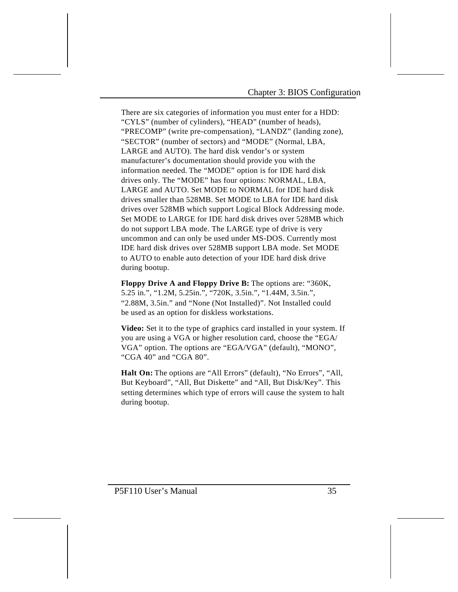There are six categories of information you must enter for a HDD: "CYLS" (number of cylinders), "HEAD" (number of heads), "PRECOMP" (write pre-compensation), "LANDZ" (landing zone), "SECTOR" (number of sectors) and "MODE" (Normal, LBA, LARGE and AUTO). The hard disk vendor's or system manufacturer's documentation should provide you with the information needed. The "MODE" option is for IDE hard disk drives only. The "MODE" has four options: NORMAL, LBA, LARGE and AUTO. Set MODE to NORMAL for IDE hard disk drives smaller than 528MB. Set MODE to LBA for IDE hard disk drives over 528MB which support Logical Block Addressing mode. Set MODE to LARGE for IDE hard disk drives over 528MB which do not support LBA mode. The LARGE type of drive is very uncommon and can only be used under MS-DOS. Currently most IDE hard disk drives over 528MB support LBA mode. Set MODE to AUTO to enable auto detection of your IDE hard disk drive during bootup.

**Floppy Drive A and Floppy Drive B:** The options are: "360K, 5.25 in.", "1.2M, 5.25in.", "720K, 3.5in.", "1.44M, 3.5in.", "2.88M, 3.5in." and "None (Not Installed)". Not Installed could be used as an option for diskless workstations.

**Video:** Set it to the type of graphics card installed in your system. If you are using a VGA or higher resolution card, choose the "EGA/ VGA" option. The options are "EGA/VGA" (default), "MONO", "CGA 40" and "CGA 80".

**Halt On:** The options are "All Errors" (default), "No Errors", "All, But Keyboard", "All, But Diskette" and "All, But Disk/Key". This setting determines which type of errors will cause the system to halt during bootup.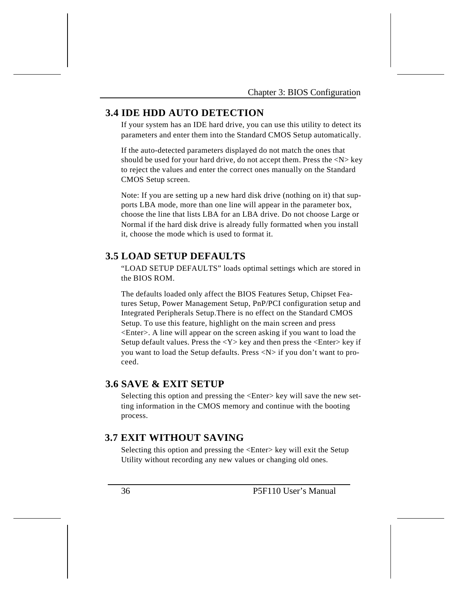### **3.4 IDE HDD AUTO DETECTION**

If your system has an IDE hard drive, you can use this utility to detect its parameters and enter them into the Standard CMOS Setup automatically.

If the auto-detected parameters displayed do not match the ones that should be used for your hard drive, do not accept them. Press the  $\langle N \rangle$  key to reject the values and enter the correct ones manually on the Standard CMOS Setup screen.

Note: If you are setting up a new hard disk drive (nothing on it) that supports LBA mode, more than one line will appear in the parameter box, choose the line that lists LBA for an LBA drive. Do not choose Large or Normal if the hard disk drive is already fully formatted when you install it, choose the mode which is used to format it.

### **3.5 LOAD SETUP DEFAULTS**

"LOAD SETUP DEFAULTS" loads optimal settings which are stored in the BIOS ROM.

The defaults loaded only affect the BIOS Features Setup, Chipset Features Setup, Power Management Setup, PnP/PCI configuration setup and Integrated Peripherals Setup.There is no effect on the Standard CMOS Setup. To use this feature, highlight on the main screen and press <Enter>. A line will appear on the screen asking if you want to load the Setup default values. Press the  $<\mathbf{Y}>$  key and then press the  $<\mathbf{Enter}>$  key if you want to load the Setup defaults. Press <N> if you don't want to proceed.

### **3.6 SAVE & EXIT SETUP**

Selecting this option and pressing the <Enter> key will save the new setting information in the CMOS memory and continue with the booting process.

### **3.7 EXIT WITHOUT SAVING**

Selecting this option and pressing the <Enter> key will exit the Setup Utility without recording any new values or changing old ones.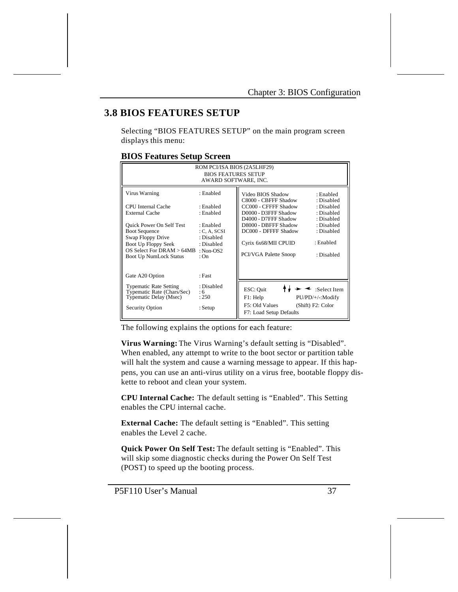### **3.8 BIOS FEATURES SETUP**

Selecting "BIOS FEATURES SETUP" on the main program screen displays this menu:

#### **BIOS Features Setup Screen**

| ROM PCI/ISA BIOS (2A5LHF29)<br><b>BIOS FEATURES SETUP</b><br>AWARD SOFTWARE, INC.                                                                                                                                                 |                                                                                                                 |                                                                                                                                                                                                                                                                                                                                                |  |  |
|-----------------------------------------------------------------------------------------------------------------------------------------------------------------------------------------------------------------------------------|-----------------------------------------------------------------------------------------------------------------|------------------------------------------------------------------------------------------------------------------------------------------------------------------------------------------------------------------------------------------------------------------------------------------------------------------------------------------------|--|--|
| Virus Warning<br>CPU Internal Cache<br><b>External Cache</b><br><b>Ouick Power On Self Test</b><br><b>Boot Sequence</b><br>Swap Floppy Drive<br>Boot Up Floppy Seek<br>OS Select For DRAM > 64MB<br><b>Boot Up NumLock Status</b> | : Enabled<br>· Enabled<br>: Enabled<br>: Enabled<br>C, A, SCSI<br>: Disabled<br>: Disabled<br>: Non-OS2<br>: On | Video BIOS Shadow<br>: Enabled<br>C8000 - CBFFF Shadow<br>: Disabled<br>CC000 - CFFFF Shadow<br>: Disabled<br>D0000 - D3FFF Shadow<br>: Disabled<br>D4000 - D7FFF Shadow<br>: Disabled<br>D8000 - DBFFF Shadow<br>: Disabled<br>DC000 - DFFFF Shadow<br>: Disabled<br>: Enabled<br>Cyrix 6x68/MII CPUID<br>PCI/VGA Palette Snoop<br>· Disabled |  |  |
| Gate A20 Option<br><b>Typematic Rate Setting</b><br>Typematic Rate (Chars/Sec)<br>Typematic Delay (Msec)<br><b>Security Option</b>                                                                                                | : Fast<br>: Disabled<br>: 6<br>: 250<br>: Setup                                                                 | ESC: Quit<br>$\leq$ :Select Item<br>F1: Help<br>PU/PD/+/-:Modify<br>F5: Old Values<br>(Shift) F2: Color<br>F7: Load Setup Defaults                                                                                                                                                                                                             |  |  |

The following explains the options for each feature:

**Virus Warning:** The Virus Warning's default setting is "Disabled". When enabled, any attempt to write to the boot sector or partition table will halt the system and cause a warning message to appear. If this happens, you can use an anti-virus utility on a virus free, bootable floppy diskette to reboot and clean your system.

**CPU Internal Cache:** The default setting is "Enabled". This Setting enables the CPU internal cache.

**External Cache:** The default setting is "Enabled". This setting enables the Level 2 cache.

**Quick Power On Self Test:** The default setting is "Enabled". This will skip some diagnostic checks during the Power On Self Test (POST) to speed up the booting process.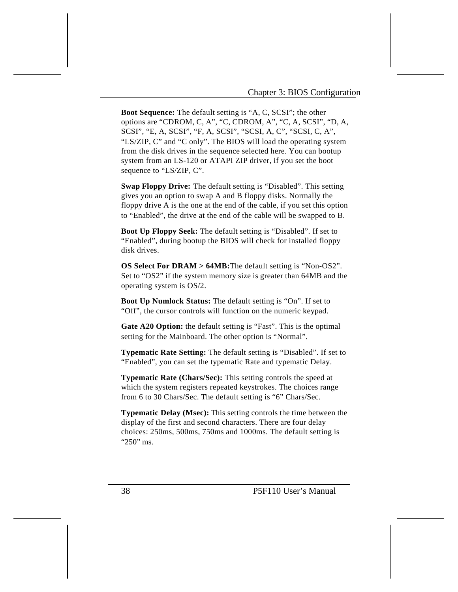**Boot Sequence:** The default setting is "A, C, SCSI"; the other options are "CDROM, C, A", "C, CDROM, A", "C, A, SCSI", "D, A, SCSI", "E, A, SCSI", "F, A, SCSI", "SCSI, A, C", "SCSI, C, A", "LS/ZIP, C" and "C only". The BIOS will load the operating system from the disk drives in the sequence selected here. You can bootup system from an LS-120 or ATAPI ZIP driver, if you set the boot sequence to "LS/ZIP, C".

**Swap Floppy Drive:** The default setting is "Disabled". This setting gives you an option to swap A and B floppy disks. Normally the floppy drive A is the one at the end of the cable, if you set this option to "Enabled", the drive at the end of the cable will be swapped to B.

**Boot Up Floppy Seek:** The default setting is "Disabled". If set to "Enabled", during bootup the BIOS will check for installed floppy disk drives.

**OS Select For DRAM > 64MB:**The default setting is "Non-OS2". Set to "OS2" if the system memory size is greater than 64MB and the operating system is OS/2.

**Boot Up Numlock Status:** The default setting is "On". If set to "Off", the cursor controls will function on the numeric keypad.

**Gate A20 Option:** the default setting is "Fast". This is the optimal setting for the Mainboard. The other option is "Normal".

**Typematic Rate Setting:** The default setting is "Disabled". If set to "Enabled", you can set the typematic Rate and typematic Delay.

**Typematic Rate (Chars/Sec):** This setting controls the speed at which the system registers repeated keystrokes. The choices range from 6 to 30 Chars/Sec. The default setting is "6" Chars/Sec.

**Typematic Delay (Msec):** This setting controls the time between the display of the first and second characters. There are four delay choices: 250ms, 500ms, 750ms and 1000ms. The default setting is "250" ms.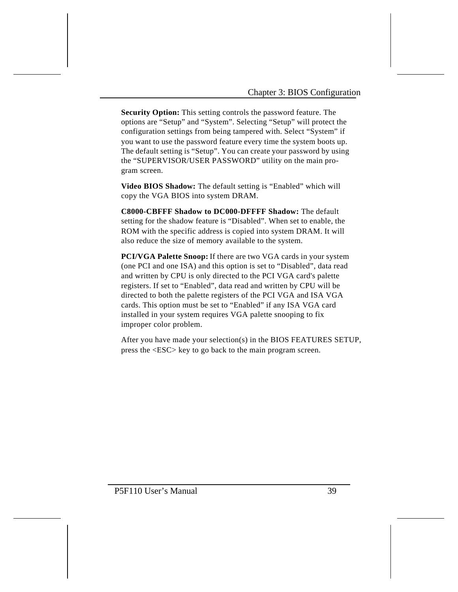**Security Option:** This setting controls the password feature. The options are "Setup" and "System". Selecting "Setup" will protect the configuration settings from being tampered with. Select "System" if you want to use the password feature every time the system boots up. The default setting is "Setup". You can create your password by using the "SUPERVISOR/USER PASSWORD" utility on the main program screen.

**Video BIOS Shadow:** The default setting is "Enabled" which will copy the VGA BIOS into system DRAM.

**C8000-CBFFF Shadow to DC000-DFFFF Shadow:** The default setting for the shadow feature is "Disabled". When set to enable, the ROM with the specific address is copied into system DRAM. It will also reduce the size of memory available to the system.

**PCI/VGA Palette Snoop:** If there are two VGA cards in your system (one PCI and one ISA) and this option is set to "Disabled", data read and written by CPU is only directed to the PCI VGA card's palette registers. If set to "Enabled", data read and written by CPU will be directed to both the palette registers of the PCI VGA and ISA VGA cards. This option must be set to "Enabled" if any ISA VGA card installed in your system requires VGA palette snooping to fix improper color problem.

After you have made your selection(s) in the BIOS FEATURES SETUP, press the <ESC> key to go back to the main program screen.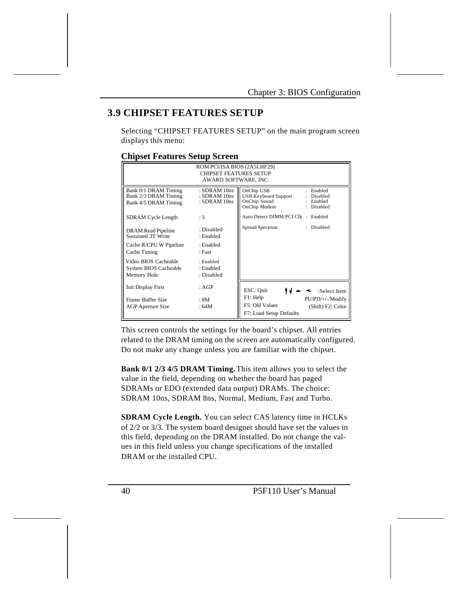### **3.9 CHIPSET FEATURES SETUP**

Selecting "CHIPSET FEATURES SETUP" on the main program screen displays this menu:

#### **Chipset Features Setup Screen**

| ROM PCI/ISA BIOS (2A5LHF29)<br><b>CHIPSET FEATURES SETUP</b><br>AWARD SOFTWARE, INC. |                                                |                                                                                                                               |  |  |
|--------------------------------------------------------------------------------------|------------------------------------------------|-------------------------------------------------------------------------------------------------------------------------------|--|--|
| Bank 0/1 DRAM Timing<br>Bank 2/3 DRAM Timing<br>Bank 4/5 DRAM Timing                 | : SDRAM 10ns<br>: SDRAM 10ns<br>$:$ SDRAM 10ns | OnChip USB<br>: Enabled<br><b>USB Keyboard Support</b><br>Disabled<br>OnChip Sound<br>: Enabled<br>OnChip Modem<br>: Disabled |  |  |
| <b>SDRAM</b> Cycle Length                                                            | :3                                             | Auto Detect DIMM/PCI Clk : Enabled                                                                                            |  |  |
| DRAM Read Pipeline<br>Sustained 3T Write                                             | : Disabled<br>: Enabled                        | Spread Spectrum<br>: Disabled                                                                                                 |  |  |
| Cache R/CPU W Pipeline<br>Cache Timing                                               | : Enabled<br>· Fast                            |                                                                                                                               |  |  |
| Video BIOS Cacheable<br>System BIOS Cacheable<br>Memory Hole                         | : Enabled<br>: Enabled<br>: Disabled           |                                                                                                                               |  |  |
| <b>Init Display First</b>                                                            | : AGP                                          | ESC: Quit<br>:Select Item                                                                                                     |  |  |
| Frame Buffer Size<br><b>AGP</b> Aperture Size                                        | : 8M<br>:64M                                   | F1: Help<br>PU/PD/+/-:Modify<br>F5: Old Values<br>(Shift) F2: Color<br>F7: Load Setup Defaults                                |  |  |

This screen controls the settings for the board's chipset. All entries related to the DRAM timing on the screen are automatically configured. Do not make any change unless you are familiar with the chipset.

**Bank 0/1 2/3 4/5 DRAM Timing.** This item allows you to select the value in the field, depending on whether the board has paged SDRAMs or EDO (extended data output) DRAMs. The choice: SDRAM 10ns, SDRAM 8ns, Normal, Medium, Fast and Turbo.

**SDRAM Cycle Length.** You can select CAS latency time in HCLKs of 2/2 or 3/3. The system board designer should have set the values in this field, depending on the DRAM installed. Do not change the values in this field unless you change specifications of the installed DRAM or the installed CPU.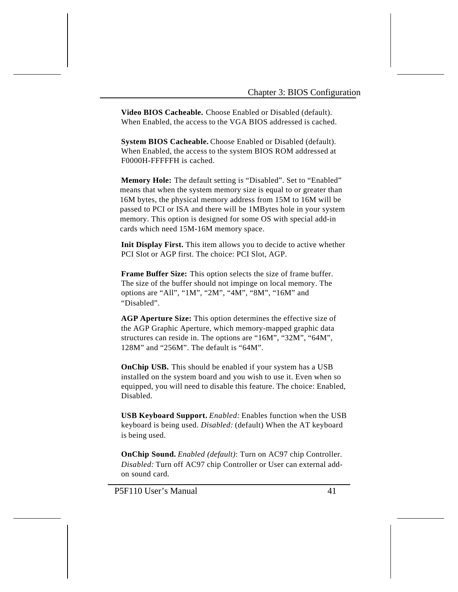**Video BIOS Cacheable.** Choose Enabled or Disabled (default). When Enabled, the access to the VGA BIOS addressed is cached.

**System BIOS Cacheable.** Choose Enabled or Disabled (default). When Enabled, the access to the system BIOS ROM addressed at F0000H-FFFFFH is cached.

**Memory Hole:** The default setting is "Disabled". Set to "Enabled" means that when the system memory size is equal to or greater than 16M bytes, the physical memory address from 15M to 16M will be passed to PCI or ISA and there will be 1MBytes hole in your system memory. This option is designed for some OS with special add-in cards which need 15M-16M memory space.

**Init Display First.** This item allows you to decide to active whether PCI Slot or AGP first. The choice: PCI Slot, AGP.

**Frame Buffer Size:** This option selects the size of frame buffer. The size of the buffer should not impinge on local memory. The options are "All", "1M", "2M", "4M", "8M", "16M" and "Disabled".

**AGP Aperture Size:** This option determines the effective size of the AGP Graphic Aperture, which memory-mapped graphic data structures can reside in. The options are "16M", "32M", "64M", 128M" and "256M". The default is "64M".

**OnChip USB.** This should be enabled if your system has a USB installed on the system board and you wish to use it. Even when so equipped, you will need to disable this feature. The choice: Enabled, Disabled.

**USB Keyboard Support.** *Enabled:* Enables function when the USB keyboard is being used. *Disabled:* (default) When the AT keyboard is being used.

**OnChip Sound.** *Enabled (default)*: Turn on AC97 chip Controller. *Disabled:* Turn off AC97 chip Controller or User can external addon sound card.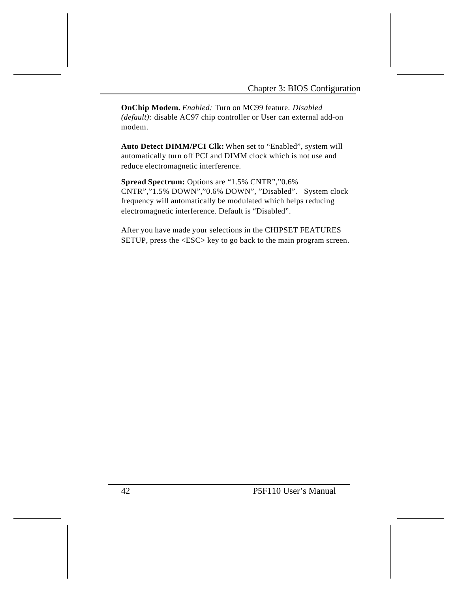**OnChip Modem.** *Enabled:* Turn on MC99 feature. *Disabled (default):* disable AC97 chip controller or User can external add-on modem.

**Auto Detect DIMM/PCI Clk:** When set to "Enabled", system will automatically turn off PCI and DIMM clock which is not use and reduce electromagnetic interference.

**Spread Spectrum:** Options are "1.5% CNTR","0.6% CNTR","1.5% DOWN","0.6% DOWN", "Disabled". System clock frequency will automatically be modulated which helps reducing electromagnetic interference. Default is "Disabled".

After you have made your selections in the CHIPSET FEATURES SETUP, press the <ESC> key to go back to the main program screen.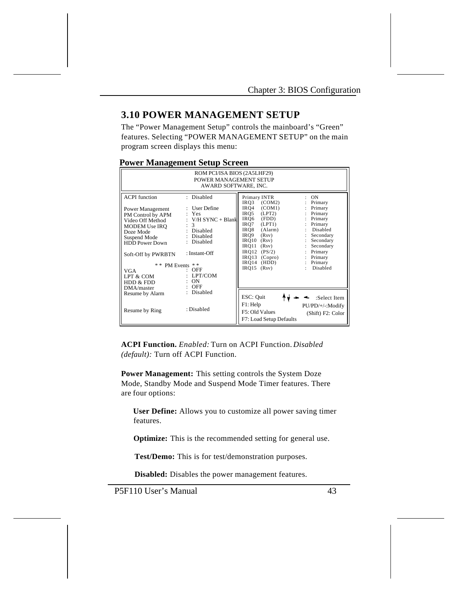#### **3.10 POWER MANAGEMENT SETUP**

The "Power Management Setup" controls the mainboard's "Green" features. Selecting "POWER MANAGEMENT SETUP" on the main program screen displays this menu:

#### **Power Management Setup Screen**

| ROM PCI/ISA BIOS (2A5LHF29)<br>POWER MANAGEMENT SETUP<br>AWARD SOFTWARE, INC.                                                                                                                                                                  |                                                                                                                                                                            |                                                                                                                                                                                                                                                                                                                                                                                                                                                            |  |  |
|------------------------------------------------------------------------------------------------------------------------------------------------------------------------------------------------------------------------------------------------|----------------------------------------------------------------------------------------------------------------------------------------------------------------------------|------------------------------------------------------------------------------------------------------------------------------------------------------------------------------------------------------------------------------------------------------------------------------------------------------------------------------------------------------------------------------------------------------------------------------------------------------------|--|--|
| <b>ACPI</b> function<br>Power Management<br>PM Control by APM<br>Video Off Method<br>MODEM Use IRQ<br>Doze Mode<br>Suspend Mode<br><b>HDD</b> Power Down<br>Soft-Off by PWRBTN<br>* * PM Events<br>VGA<br>LPT & COM<br>HDD & FDD<br>DMA/master | : Disabled<br>: User Define<br>Yes<br>$V/H$ SYNC + Blank<br>3<br>Disabled<br>Disabled<br>Disabled<br>: Instant-Off<br>* *<br>$:$ OFF<br>LPT/COM<br><b>ON</b><br><b>OFF</b> | Primary INTR<br><b>ON</b><br>IRO3<br>(COM2)<br>Primary<br>(COM1)<br>Primary<br>IRO4<br>(LPT2)<br>IRO5<br>Primary<br>÷.<br>Primary<br>IRO6<br>(FDD)<br>IRQ7<br>(LPT1)<br>Primary<br>Disabled<br>(Alarm)<br>IRO8<br>÷.<br>IRO9<br>Secondary<br>(Rsv)<br>IRQ10<br>Secondary<br>(Rsv)<br>IRO11<br>Secondary<br>(Rsv)<br>$\mathbf{I}$<br>$IRO12$ $(PS/2)$<br>Primary<br>$IRO13$ (Copro)<br>: Primary<br>IRO14<br>(HDD)<br>Primary<br>Disabled<br>IRO15<br>(Rsv) |  |  |
| Resume by Alarm<br>Resume by Ring                                                                                                                                                                                                              | : Disabled<br>: Disabled                                                                                                                                                   | ESC: Quit<br>:Select Item<br>F1: Help<br>PU/PD/+/-:Modify<br>F5: Old Values<br>(Shift) F2: Color<br>F7: Load Setup Defaults                                                                                                                                                                                                                                                                                                                                |  |  |

**ACPI Function.** *Enabled:* Turn on ACPI Function. *Disabled (default):* Turn off ACPI Function.

**Power Management:** This setting controls the System Doze Mode, Standby Mode and Suspend Mode Timer features. There are four options:

 **User Define:** Allows you to customize all power saving timer features.

 **Optimize:** This is the recommended setting for general use.

**Test/Demo:** This is for test/demonstration purposes.

**Disabled:** Disables the power management features.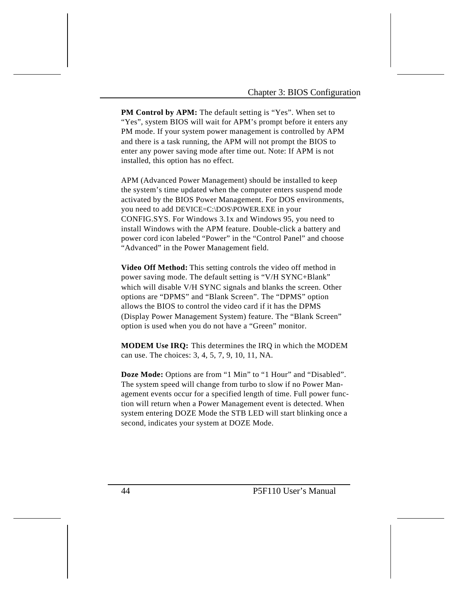**PM Control by APM:** The default setting is "Yes". When set to "Yes", system BIOS will wait for APM's prompt before it enters any PM mode. If your system power management is controlled by APM and there is a task running, the APM will not prompt the BIOS to enter any power saving mode after time out. Note: If APM is not installed, this option has no effect.

APM (Advanced Power Management) should be installed to keep the system's time updated when the computer enters suspend mode activated by the BIOS Power Management. For DOS environments, you need to add DEVICE=C:\DOS\POWER.EXE in your CONFIG.SYS. For Windows 3.1x and Windows 95, you need to install Windows with the APM feature. Double-click a battery and power cord icon labeled "Power" in the "Control Panel" and choose "Advanced" in the Power Management field.

**Video Off Method:** This setting controls the video off method in power saving mode. The default setting is "V/H SYNC+Blank" which will disable V/H SYNC signals and blanks the screen. Other options are "DPMS" and "Blank Screen". The "DPMS" option allows the BIOS to control the video card if it has the DPMS (Display Power Management System) feature. The "Blank Screen" option is used when you do not have a "Green" monitor.

**MODEM Use IRQ:** This determines the IRQ in which the MODEM can use. The choices: 3, 4, 5, 7, 9, 10, 11, NA.

**Doze Mode:** Options are from "1 Min" to "1 Hour" and "Disabled". The system speed will change from turbo to slow if no Power Management events occur for a specified length of time. Full power function will return when a Power Management event is detected. When system entering DOZE Mode the STB LED will start blinking once a second, indicates your system at DOZE Mode.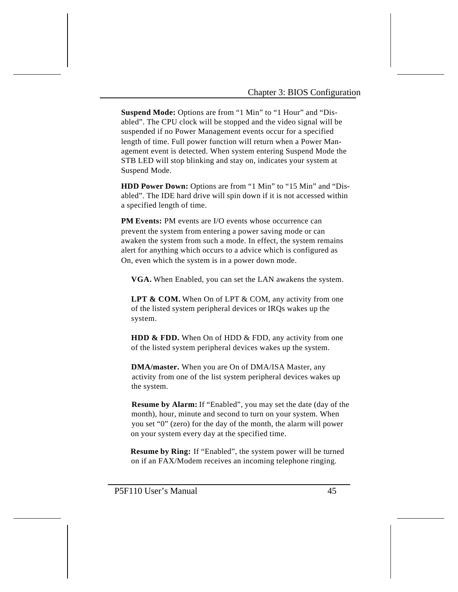**Suspend Mode:** Options are from "1 Min" to "1 Hour" and "Disabled". The CPU clock will be stopped and the video signal will be suspended if no Power Management events occur for a specified length of time. Full power function will return when a Power Management event is detected. When system entering Suspend Mode the STB LED will stop blinking and stay on, indicates your system at Suspend Mode.

**HDD Power Down:** Options are from "1 Min" to "15 Min" and "Disabled". The IDE hard drive will spin down if it is not accessed within a specified length of time.

**PM Events:** PM events are I/O events whose occurrence can prevent the system from entering a power saving mode or can awaken the system from such a mode. In effect, the system remains alert for anything which occurs to a advice which is configured as On, even which the system is in a power down mode.

**VGA.** When Enabled, you can set the LAN awakens the system.

LPT & COM. When On of LPT & COM, any activity from one of the listed system peripheral devices or IRQs wakes up the system.

**HDD & FDD.** When On of HDD & FDD, any activity from one of the listed system peripheral devices wakes up the system.

 **DMA/master.** When you are On of DMA/ISA Master, any activity from one of the list system peripheral devices wakes up the system.

 **Resume by Alarm:** If "Enabled", you may set the date (day of the month), hour, minute and second to turn on your system. When you set "0" (zero) for the day of the month, the alarm will power on your system every day at the specified time.

 **Resume by Ring:** If "Enabled", the system power will be turned on if an FAX/Modem receives an incoming telephone ringing.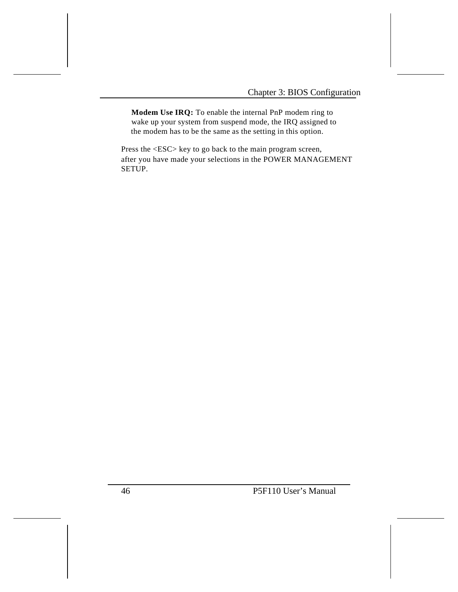**Modem Use IRQ:** To enable the internal PnP modem ring to wake up your system from suspend mode, the IRQ assigned to the modem has to be the same as the setting in this option.

Press the <ESC> key to go back to the main program screen, after you have made your selections in the POWER MANAGEMENT SETUP.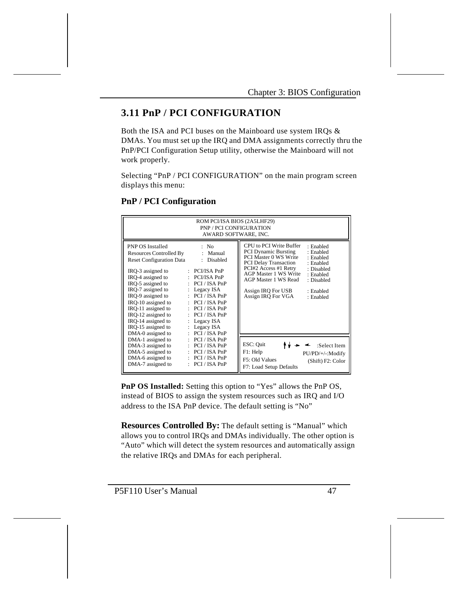### **3.11 PnP / PCI CONFIGURATION**

Both the ISA and PCI buses on the Mainboard use system IRQs & DMAs. You must set up the IRQ and DMA assignments correctly thru the PnP/PCI Configuration Setup utility, otherwise the Mainboard will not work properly.

Selecting "PnP / PCI CONFIGURATION" on the main program screen displays this menu:

| ROM PCI/ISA BIOS (2A5LHF29)<br><b>PNP / PCI CONFIGURATION</b><br>AWARD SOFTWARE, INC.                                                                                                                                                                                                                                                             |                                                                                                                                                                                                                                                                                              |                                                                                                                                                                                                                                                                                                                                                                     |  |  |  |  |
|---------------------------------------------------------------------------------------------------------------------------------------------------------------------------------------------------------------------------------------------------------------------------------------------------------------------------------------------------|----------------------------------------------------------------------------------------------------------------------------------------------------------------------------------------------------------------------------------------------------------------------------------------------|---------------------------------------------------------------------------------------------------------------------------------------------------------------------------------------------------------------------------------------------------------------------------------------------------------------------------------------------------------------------|--|--|--|--|
| <b>PNP OS Installed</b><br>Resources Controlled By<br><b>Reset Configuration Data</b><br>IRQ-3 assigned to<br>IRO-4 assigned to<br>IRQ-5 assigned to<br>IRO-7 assigned to<br>IRO-9 assigned to<br>IRO-10 assigned to<br>IRQ-11 assigned to<br>IRO-12 assigned to<br>$\cdot$<br>IRQ-14 assigned to<br>÷<br>IRQ-15 assigned to<br>DMA-0 assigned to | : No<br>: Manual<br>: Disabled<br>$: PCI/ISA$ PnP<br>$: PCI/ISA$ PnP<br>$\therefore$ PCI / ISA PnP<br>: Legacy $ISA$<br>$\therefore$ PCI / ISA PnP<br>$\therefore$ PCI / ISA PnP<br>$\therefore$ PCI / ISA PnP<br>PCI / ISA PnP<br>Legacy ISA<br>Legacy ISA<br>$\mathbf{L}$<br>: PCI/ISA PnP | CPU to PCI Write Buffer<br>· Enabled<br><b>PCI Dynamic Bursting</b><br>: Enabled<br>PCI Master 0 WS Write<br>: Enabled<br><b>PCI Delay Transaction</b><br>: Enabled<br>PCI#2 Access #1 Retry<br>: Disabled<br><b>AGP Master 1 WS Write</b><br>: Enabled<br>AGP Master 1 WS Read<br>: Disabled<br>Assign IRQ For USB<br>· Enabled<br>Assign IRQ For VGA<br>: Enabled |  |  |  |  |
| DMA-1 assigned to<br>DMA-3 assigned to<br>DMA-5 assigned to<br>DMA-6 assigned to<br>DMA-7 assigned to                                                                                                                                                                                                                                             | PCI / ISA PnP<br>PCI / ISA PnP<br>PCI / ISA PnP<br>PCI / ISA PnP<br>PCI / ISA PnP                                                                                                                                                                                                            | ESC: Quit<br>:Select Item<br>F1: Help<br>PU/PD/+/-:Modify<br>F5: Old Values<br>(Shift) F2: Color<br>F7: Load Setup Defaults                                                                                                                                                                                                                                         |  |  |  |  |

#### **PnP / PCI Configuration**

**PnP OS Installed:** Setting this option to "Yes" allows the PnP OS, instead of BIOS to assign the system resources such as IRQ and I/O address to the ISA PnP device. The default setting is "No"

**Resources Controlled By:** The default setting is "Manual" which allows you to control IRQs and DMAs individually. The other option is "Auto" which will detect the system resources and automatically assign the relative IRQs and DMAs for each peripheral.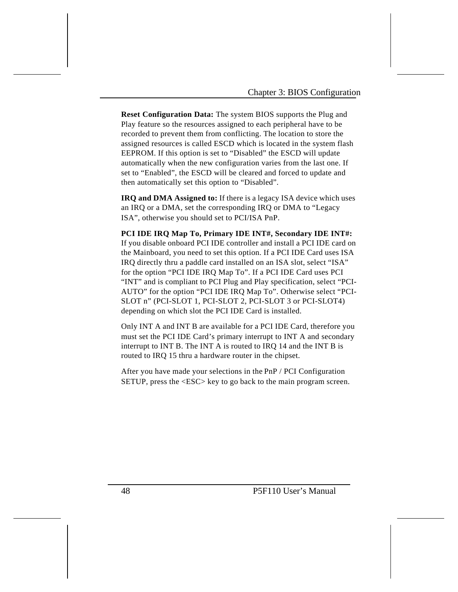**Reset Configuration Data:** The system BIOS supports the Plug and Play feature so the resources assigned to each peripheral have to be recorded to prevent them from conflicting. The location to store the assigned resources is called ESCD which is located in the system flash EEPROM. If this option is set to "Disabled" the ESCD will update automatically when the new configuration varies from the last one. If set to "Enabled", the ESCD will be cleared and forced to update and then automatically set this option to "Disabled".

**IRQ and DMA Assigned to:** If there is a legacy ISA device which uses an IRQ or a DMA, set the corresponding IRQ or DMA to "Legacy ISA", otherwise you should set to PCI/ISA PnP.

**PCI IDE IRQ Map To, Primary IDE INT#, Secondary IDE INT#:**  If you disable onboard PCI IDE controller and install a PCI IDE card on the Mainboard, you need to set this option. If a PCI IDE Card uses ISA IRQ directly thru a paddle card installed on an ISA slot, select "ISA" for the option "PCI IDE IRQ Map To". If a PCI IDE Card uses PCI "INT" and is compliant to PCI Plug and Play specification, select "PCI-AUTO" for the option "PCI IDE IRQ Map To". Otherwise select "PCI-SLOT n" (PCI-SLOT 1, PCI-SLOT 2, PCI-SLOT 3 or PCI-SLOT4) depending on which slot the PCI IDE Card is installed.

Only INT A and INT B are available for a PCI IDE Card, therefore you must set the PCI IDE Card's primary interrupt to INT A and secondary interrupt to INT B. The INT A is routed to IRQ 14 and the INT B is routed to IRQ 15 thru a hardware router in the chipset.

After you have made your selections in the PnP / PCI Configuration SETUP, press the <ESC> key to go back to the main program screen.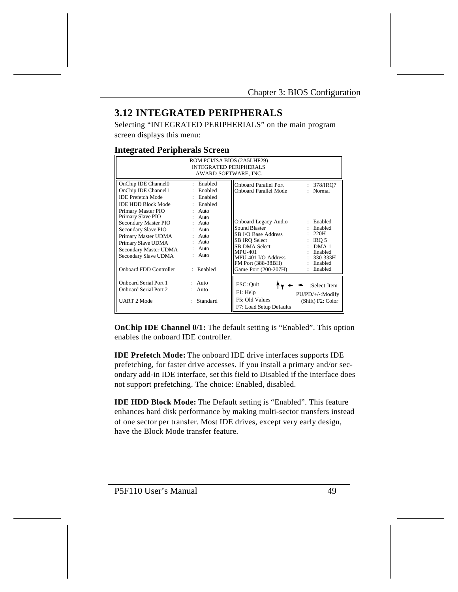### **3.12 INTEGRATED PERIPHERALS**

Selecting "INTEGRATED PERIPHERIALS" on the main program screen displays this menu:

#### **Integrated Peripherals Screen**

| ROM PCI/ISA BIOS (2A5LHF29)<br><b>INTEGRATED PERIPHERALS</b><br>AWARD SOFTWARE, INC.                                                                                       |                                                                                                             |                                                                                                                                                                                       |                                                                                                                   |  |  |
|----------------------------------------------------------------------------------------------------------------------------------------------------------------------------|-------------------------------------------------------------------------------------------------------------|---------------------------------------------------------------------------------------------------------------------------------------------------------------------------------------|-------------------------------------------------------------------------------------------------------------------|--|--|
| OnChip IDE Channel0<br>OnChip IDE Channel1<br><b>IDE Prefetch Mode</b><br><b>IDE HDD Block Mode</b><br>Primary Master PIO<br>Primary Slave PIO                             | : Enabled<br>: Enabled<br>: Enabled<br>: Enabled<br>Auto<br>$\ddot{\phantom{a}}$                            | <b>Onboard Parallel Port</b><br><b>Onboard Parallel Mode</b>                                                                                                                          | 378/IRQ7<br>÷.<br>: Normal                                                                                        |  |  |
| Secondary Master PIO<br>Secondary Slave PIO<br>Primary Master UDMA<br>Primary Slave UDMA<br>Secondary Master UDMA<br>Secondary Slave UDMA<br><b>Onboard FDD Controller</b> | $\cdot$ Auto<br>$:$ Auto<br>$:$ Auto<br>Auto<br>$\ddot{\cdot}$<br>Auto<br>$:$ Auto<br>$:$ Auto<br>: Enabled | Onboard Legacy Audio<br>Sound Blaster<br>SB I/O Base Address<br>SB IRO Select<br>SB DMA Select<br><b>MPU-401</b><br>MPU-401 I/O Address<br>FM Port (388-38BH)<br>Game Port (200-207H) | : Enabled<br>: Enabled<br>: 220H<br>$:$ IRO 5<br>$:$ DMA 1<br>: Enabled<br>$: 330-333H$<br>: Enabled<br>: Enabled |  |  |
| Onboard Serial Port 1<br><b>Onboard Serial Port 2</b><br><b>UART 2 Mode</b>                                                                                                | $:$ Auto<br>$:$ Auto<br>: Standard                                                                          | ESC: Quit<br>F1: Help<br>F5: Old Values<br>F7: Load Setup Defaults                                                                                                                    | :Select Item<br>PU/PD/+/-:Modify<br>(Shift) F2: Color                                                             |  |  |

**OnChip IDE Channel 0/1:** The default setting is "Enabled". This option enables the onboard IDE controller.

**IDE Prefetch Mode:** The onboard IDE drive interfaces supports IDE prefetching, for faster drive accesses. If you install a primary and/or secondary add-in IDE interface, set this field to Disabled if the interface does not support prefetching. The choice: Enabled, disabled.

**IDE HDD Block Mode:** The Default setting is "Enabled". This feature enhances hard disk performance by making multi-sector transfers instead of one sector per transfer. Most IDE drives, except very early design, have the Block Mode transfer feature.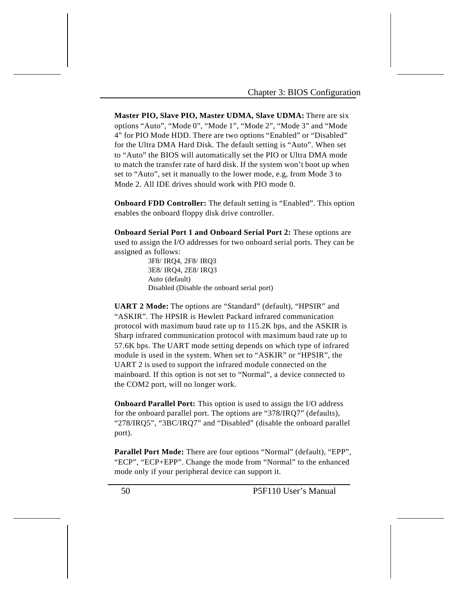**Master PIO, Slave PIO, Master UDMA, Slave UDMA:** There are six options "Auto", "Mode 0", "Mode 1", "Mode 2", "Mode 3" and "Mode 4" for PIO Mode HDD. There are two options "Enabled" or "Disabled" for the Ultra DMA Hard Disk. The default setting is "Auto". When set to "Auto" the BIOS will automatically set the PIO or Ultra DMA mode to match the transfer rate of hard disk. If the system won't boot up when set to "Auto", set it manually to the lower mode, e.g, from Mode 3 to Mode 2. All IDE drives should work with PIO mode 0.

**Onboard FDD Controller:** The default setting is "Enabled". This option enables the onboard floppy disk drive controller.

**Onboard Serial Port 1 and Onboard Serial Port 2:** These options are used to assign the I/O addresses for two onboard serial ports. They can be assigned as follows:

> 3F8/ IRQ4, 2F8/ IRQ3 3E8/ IRQ4, 2E8/ IRQ3 Auto (default) Disabled (Disable the onboard serial port)

**UART 2 Mode:** The options are "Standard" (default), "HPSIR" and "ASKIR". The HPSIR is Hewlett Packard infrared communication protocol with maximum baud rate up to 115.2K bps, and the ASKIR is Sharp infrared communication protocol with maximum baud rate up to 57.6K bps. The UART mode setting depends on which type of infrared module is used in the system. When set to "ASKIR" or "HPSIR", the UART 2 is used to support the infrared module connected on the mainboard. If this option is not set to "Normal", a device connected to the COM2 port, will no longer work.

**Onboard Parallel Port:** This option is used to assign the I/O address for the onboard parallel port. The options are "378/IRQ7" (defaults), "278/IRQ5", "3BC/IRQ7" and "Disabled" (disable the onboard parallel port).

Parallel Port Mode: There are four options "Normal" (default), "EPP", "ECP", "ECP+EPP". Change the mode from "Normal" to the enhanced mode only if your peripheral device can support it.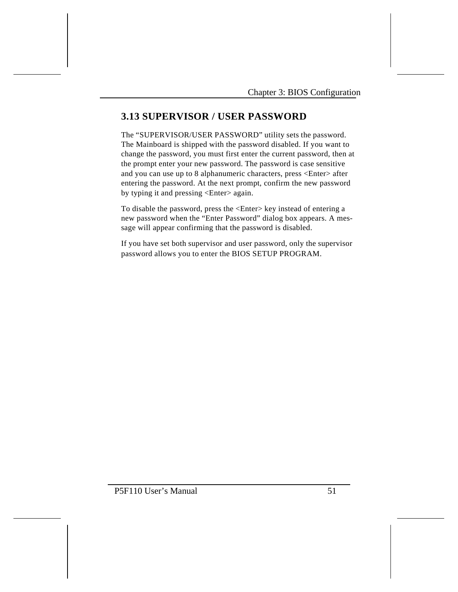### **3.13 SUPERVISOR / USER PASSWORD**

The "SUPERVISOR/USER PASSWORD" utility sets the password. The Mainboard is shipped with the password disabled. If you want to change the password, you must first enter the current password, then at the prompt enter your new password. The password is case sensitive and you can use up to 8 alphanumeric characters, press <Enter> after entering the password. At the next prompt, confirm the new password by typing it and pressing <Enter> again.

To disable the password, press the <Enter> key instead of entering a new password when the "Enter Password" dialog box appears. A message will appear confirming that the password is disabled.

If you have set both supervisor and user password, only the supervisor password allows you to enter the BIOS SETUP PROGRAM.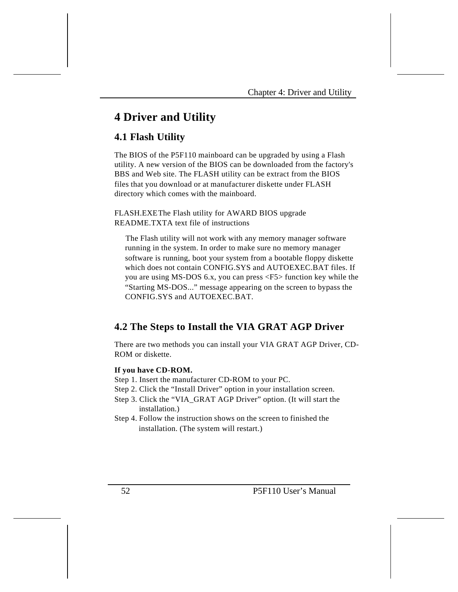# **4 Driver and Utility**

### **4.1 Flash Utility**

The BIOS of the P5F110 mainboard can be upgraded by using a Flash utility. A new version of the BIOS can be downloaded from the factory's BBS and Web site. The FLASH utility can be extract from the BIOS files that you download or at manufacturer diskette under FLASH directory which comes with the mainboard.

FLASH.EXEThe Flash utility for AWARD BIOS upgrade README.TXTA text file of instructions

The Flash utility will not work with any memory manager software running in the system. In order to make sure no memory manager software is running, boot your system from a bootable floppy diskette which does not contain CONFIG.SYS and AUTOEXEC.BAT files. If you are using MS-DOS 6.x, you can press <F5> function key while the "Starting MS-DOS..." message appearing on the screen to bypass the CONFIG.SYS and AUTOEXEC.BAT.

### **4.2 The Steps to Install the VIA GRAT AGP Driver**

There are two methods you can install your VIA GRAT AGP Driver, CD-ROM or diskette.

#### **If you have CD-ROM.**

- Step 1. Insert the manufacturer CD-ROM to your PC.
- Step 2. Click the "Install Driver" option in your installation screen.
- Step 3. Click the "VIA\_GRAT AGP Driver" option. (It will start the installation.)
- Step 4. Follow the instruction shows on the screen to finished the installation. (The system will restart.)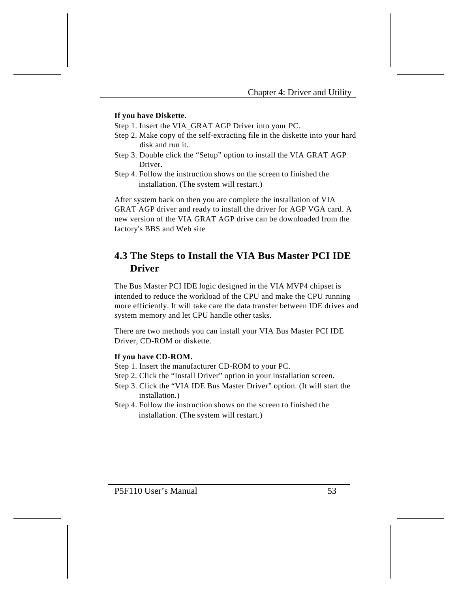#### **If you have Diskette.**

Step 1. Insert the VIA\_GRAT AGP Driver into your PC.

- Step 2. Make copy of the self-extracting file in the diskette into your hard disk and run it.
- Step 3. Double click the "Setup" option to install the VIA GRAT AGP Driver.
- Step 4. Follow the instruction shows on the screen to finished the installation. (The system will restart.)

After system back on then you are complete the installation of VIA GRAT AGP driver and ready to install the driver for AGP VGA card. A new version of the VIA GRAT AGP drive can be downloaded from the factory's BBS and Web site

### **4.3 The Steps to Install the VIA Bus Master PCI IDE Driver**

The Bus Master PCI IDE logic designed in the VIA MVP4 chipset is intended to reduce the workload of the CPU and make the CPU running more efficiently. It will take care the data transfer between IDE drives and system memory and let CPU handle other tasks.

There are two methods you can install your VIA Bus Master PCI IDE Driver, CD-ROM or diskette.

#### **If you have CD-ROM.**

- Step 1. Insert the manufacturer CD-ROM to your PC.
- Step 2. Click the "Install Driver" option in your installation screen.
- Step 3. Click the "VIA IDE Bus Master Driver" option. (It will start the installation.)
- Step 4. Follow the instruction shows on the screen to finished the installation. (The system will restart.)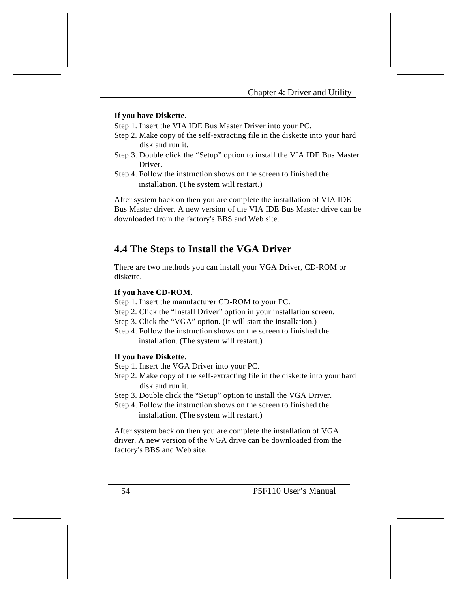#### **If you have Diskette.**

Step 1. Insert the VIA IDE Bus Master Driver into your PC.

- Step 2. Make copy of the self-extracting file in the diskette into your hard disk and run it.
- Step 3. Double click the "Setup" option to install the VIA IDE Bus Master Driver.
- Step 4. Follow the instruction shows on the screen to finished the installation. (The system will restart.)

After system back on then you are complete the installation of VIA IDE Bus Master driver. A new version of the VIA IDE Bus Master drive can be downloaded from the factory's BBS and Web site.

### **4.4 The Steps to Install the VGA Driver**

There are two methods you can install your VGA Driver, CD-ROM or diskette.

#### **If you have CD-ROM.**

- Step 1. Insert the manufacturer CD-ROM to your PC.
- Step 2. Click the "Install Driver" option in your installation screen.
- Step 3. Click the "VGA" option. (It will start the installation.)
- Step 4. Follow the instruction shows on the screen to finished the installation. (The system will restart.)

#### **If you have Diskette.**

- Step 1. Insert the VGA Driver into your PC.
- Step 2. Make copy of the self-extracting file in the diskette into your hard disk and run it.
- Step 3. Double click the "Setup" option to install the VGA Driver.
- Step 4. Follow the instruction shows on the screen to finished the installation. (The system will restart.)

After system back on then you are complete the installation of VGA driver. A new version of the VGA drive can be downloaded from the factory's BBS and Web site.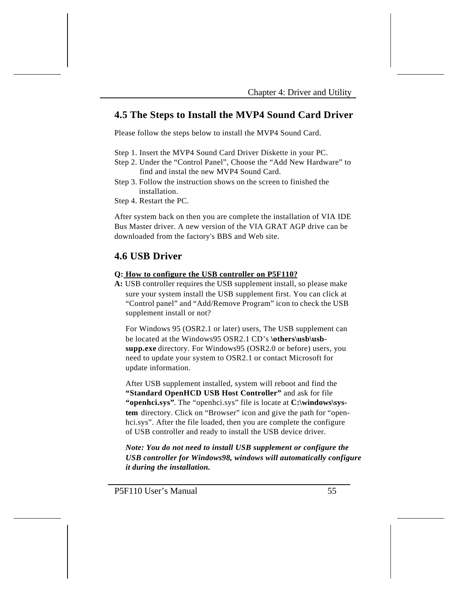### **4.5 The Steps to Install the MVP4 Sound Card Driver**

Please follow the steps below to install the MVP4 Sound Card.

Step 1. Insert the MVP4 Sound Card Driver Diskette in your PC.

- Step 2. Under the "Control Panel", Choose the "Add New Hardware" to find and instal the new MVP4 Sound Card.
- Step 3. Follow the instruction shows on the screen to finished the installation.
- Step 4. Restart the PC.

After system back on then you are complete the installation of VIA IDE Bus Master driver. A new version of the VIA GRAT AGP drive can be downloaded from the factory's BBS and Web site.

### **4.6 USB Driver**

#### **Q: How to configure the USB controller on P5F110?**

**A:** USB controller requires the USB supplement install, so please make sure your system install the USB supplement first. You can click at "Control panel" and "Add/Remove Program" icon to check the USB supplement install or not?

For Windows 95 (OSR2.1 or later) users, The USB supplement can be located at the Windows95 OSR2.1 CD's \others\usb\usb**supp.exe** directory. For Windows95 (OSR2.0 or before) users, you need to update your system to OSR2.1 or contact Microsoft for update information.

After USB supplement installed, system will reboot and find the **"Standard OpenHCD USB Host Controller"** and ask for file **"openhci.sys"**. The "openhci.sys" file is locate at **C:\windows\system** directory. Click on "Browser" icon and give the path for "openhci.sys". After the file loaded, then you are complete the configure of USB controller and ready to install the USB device driver.

*Note: You do not need to install USB supplement or configure the USB controller for Windows98, windows will automatically configure it during the installation.*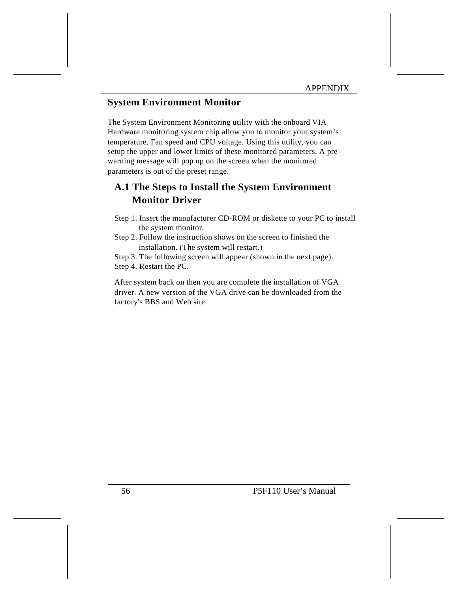### **System Environment Monitor**

The System Environment Monitoring utility with the onboard VIA Hardware monitoring system chip allow you to monitor your system's temperature, Fan speed and CPU voltage. Using this utility, you can setup the upper and lower limits of these monitored parameters. A prewarning message will pop up on the screen when the monitored parameters is out of the preset range.

## **A.1 The Steps to Install the System Environment Monitor Driver**

- Step 1. Insert the manufacturer CD-ROM or diskette to your PC to install the system monitor.
- Step 2. Follow the instruction shows on the screen to finished the installation. (The system will restart.)

Step 3. The following screen will appear (shown in the next page).

Step 4. Restart the PC.

After system back on then you are complete the installation of VGA driver. A new version of the VGA drive can be downloaded from the factory's BBS and Web site.